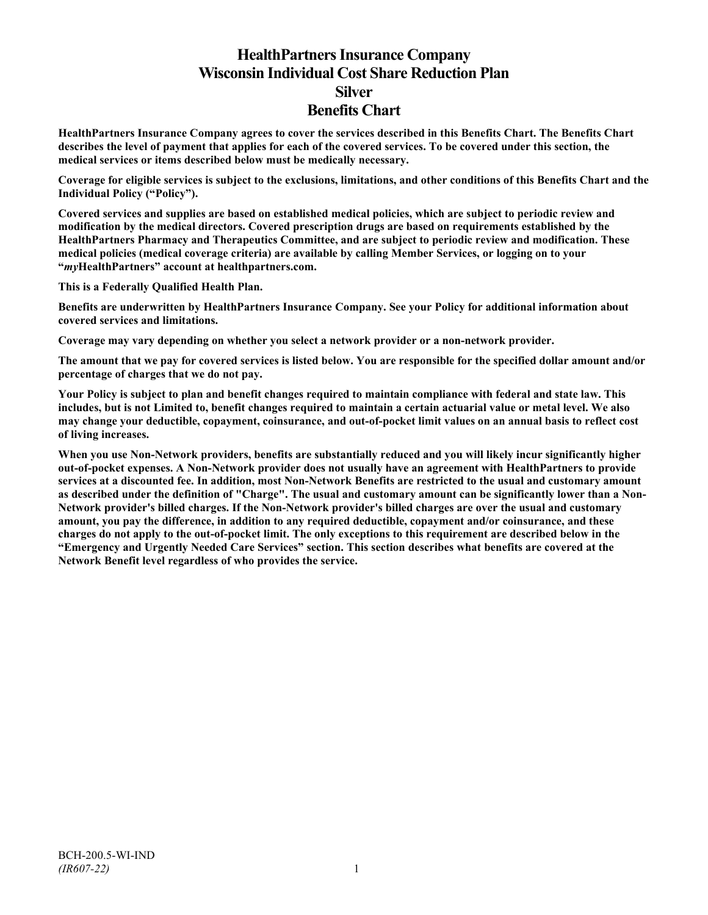# **HealthPartners Insurance Company Wisconsin Individual Cost Share Reduction Plan Silver Benefits Chart**

**HealthPartners Insurance Company agrees to cover the services described in this Benefits Chart. The Benefits Chart describes the level of payment that applies for each of the covered services. To be covered under this section, the medical services or items described below must be medically necessary.**

**Coverage for eligible services is subject to the exclusions, limitations, and other conditions of this Benefits Chart and the Individual Policy ("Policy").**

**Covered services and supplies are based on established medical policies, which are subject to periodic review and modification by the medical directors. Covered prescription drugs are based on requirements established by the HealthPartners Pharmacy and Therapeutics Committee, and are subject to periodic review and modification. These medical policies (medical coverage criteria) are available by calling Member Services, or logging on to your "***my***HealthPartners" account at [healthpartners.com.](http://www.healthpartners.com/)**

**This is a Federally Qualified Health Plan.**

**Benefits are underwritten by HealthPartners Insurance Company. See your Policy for additional information about covered services and limitations.**

**Coverage may vary depending on whether you select a network provider or a non-network provider.**

**The amount that we pay for covered services is listed below. You are responsible for the specified dollar amount and/or percentage of charges that we do not pay.**

**Your Policy is subject to plan and benefit changes required to maintain compliance with federal and state law. This includes, but is not Limited to, benefit changes required to maintain a certain actuarial value or metal level. We also may change your deductible, copayment, coinsurance, and out-of-pocket limit values on an annual basis to reflect cost of living increases.**

**When you use Non-Network providers, benefits are substantially reduced and you will likely incur significantly higher out-of-pocket expenses. A Non-Network provider does not usually have an agreement with HealthPartners to provide services at a discounted fee. In addition, most Non-Network Benefits are restricted to the usual and customary amount as described under the definition of "Charge". The usual and customary amount can be significantly lower than a Non-Network provider's billed charges. If the Non-Network provider's billed charges are over the usual and customary amount, you pay the difference, in addition to any required deductible, copayment and/or coinsurance, and these charges do not apply to the out-of-pocket limit. The only exceptions to this requirement are described below in the "Emergency and Urgently Needed Care Services" section. This section describes what benefits are covered at the Network Benefit level regardless of who provides the service.**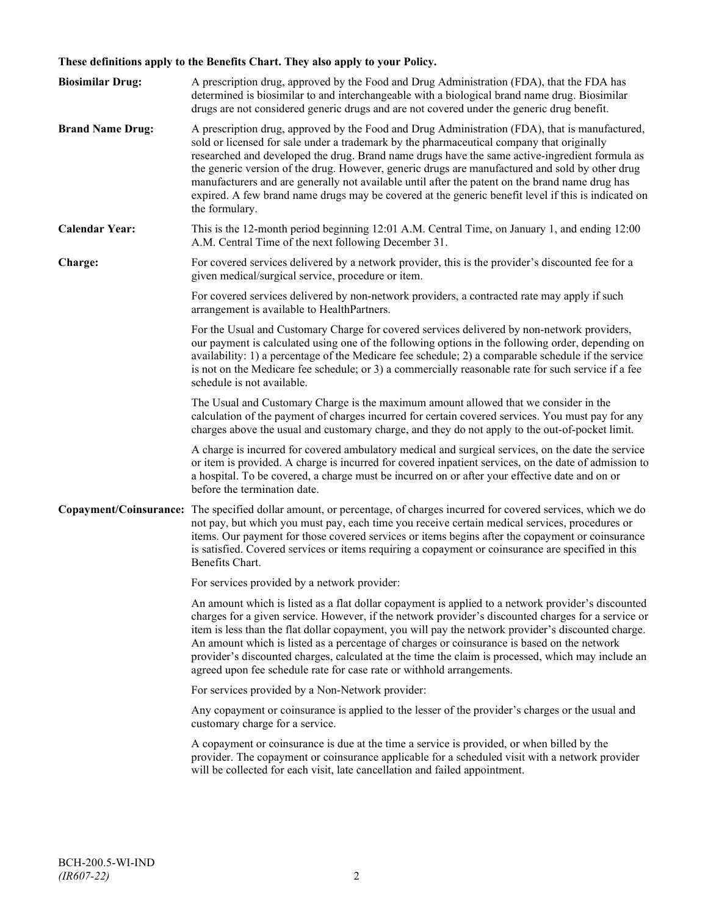## **These definitions apply to the Benefits Chart. They also apply to your Policy.**

| <b>Biosimilar Drug:</b> | A prescription drug, approved by the Food and Drug Administration (FDA), that the FDA has<br>determined is biosimilar to and interchangeable with a biological brand name drug. Biosimilar<br>drugs are not considered generic drugs and are not covered under the generic drug benefit.                                                                                                                                                                                                                                                                                                                                     |
|-------------------------|------------------------------------------------------------------------------------------------------------------------------------------------------------------------------------------------------------------------------------------------------------------------------------------------------------------------------------------------------------------------------------------------------------------------------------------------------------------------------------------------------------------------------------------------------------------------------------------------------------------------------|
| <b>Brand Name Drug:</b> | A prescription drug, approved by the Food and Drug Administration (FDA), that is manufactured,<br>sold or licensed for sale under a trademark by the pharmaceutical company that originally<br>researched and developed the drug. Brand name drugs have the same active-ingredient formula as<br>the generic version of the drug. However, generic drugs are manufactured and sold by other drug<br>manufacturers and are generally not available until after the patent on the brand name drug has<br>expired. A few brand name drugs may be covered at the generic benefit level if this is indicated on<br>the formulary. |
| <b>Calendar Year:</b>   | This is the 12-month period beginning 12:01 A.M. Central Time, on January 1, and ending 12:00<br>A.M. Central Time of the next following December 31.                                                                                                                                                                                                                                                                                                                                                                                                                                                                        |
| Charge:                 | For covered services delivered by a network provider, this is the provider's discounted fee for a<br>given medical/surgical service, procedure or item.                                                                                                                                                                                                                                                                                                                                                                                                                                                                      |
|                         | For covered services delivered by non-network providers, a contracted rate may apply if such<br>arrangement is available to HealthPartners.                                                                                                                                                                                                                                                                                                                                                                                                                                                                                  |
|                         | For the Usual and Customary Charge for covered services delivered by non-network providers,<br>our payment is calculated using one of the following options in the following order, depending on<br>availability: 1) a percentage of the Medicare fee schedule; 2) a comparable schedule if the service<br>is not on the Medicare fee schedule; or 3) a commercially reasonable rate for such service if a fee<br>schedule is not available.                                                                                                                                                                                 |
|                         | The Usual and Customary Charge is the maximum amount allowed that we consider in the<br>calculation of the payment of charges incurred for certain covered services. You must pay for any<br>charges above the usual and customary charge, and they do not apply to the out-of-pocket limit.                                                                                                                                                                                                                                                                                                                                 |
|                         | A charge is incurred for covered ambulatory medical and surgical services, on the date the service<br>or item is provided. A charge is incurred for covered inpatient services, on the date of admission to<br>a hospital. To be covered, a charge must be incurred on or after your effective date and on or<br>before the termination date.                                                                                                                                                                                                                                                                                |
|                         | Copayment/Coinsurance: The specified dollar amount, or percentage, of charges incurred for covered services, which we do<br>not pay, but which you must pay, each time you receive certain medical services, procedures or<br>items. Our payment for those covered services or items begins after the copayment or coinsurance<br>is satisfied. Covered services or items requiring a copayment or coinsurance are specified in this<br>Benefits Chart.                                                                                                                                                                      |
|                         | For services provided by a network provider:                                                                                                                                                                                                                                                                                                                                                                                                                                                                                                                                                                                 |
|                         | An amount which is listed as a flat dollar copayment is applied to a network provider's discounted<br>charges for a given service. However, if the network provider's discounted charges for a service or<br>item is less than the flat dollar copayment, you will pay the network provider's discounted charge.<br>An amount which is listed as a percentage of charges or coinsurance is based on the network<br>provider's discounted charges, calculated at the time the claim is processed, which may include an<br>agreed upon fee schedule rate for case rate or withhold arrangements.                               |
|                         | For services provided by a Non-Network provider:                                                                                                                                                                                                                                                                                                                                                                                                                                                                                                                                                                             |
|                         | Any copayment or coinsurance is applied to the lesser of the provider's charges or the usual and<br>customary charge for a service.                                                                                                                                                                                                                                                                                                                                                                                                                                                                                          |
|                         | A copayment or coinsurance is due at the time a service is provided, or when billed by the<br>provider. The copayment or coinsurance applicable for a scheduled visit with a network provider<br>will be collected for each visit, late cancellation and failed appointment.                                                                                                                                                                                                                                                                                                                                                 |
|                         |                                                                                                                                                                                                                                                                                                                                                                                                                                                                                                                                                                                                                              |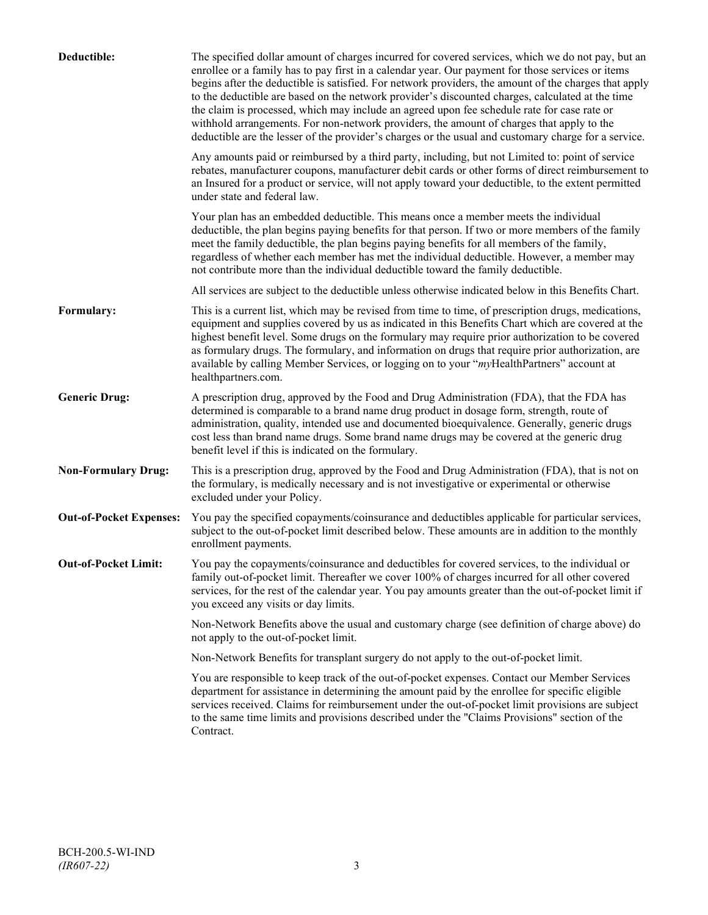| Deductible:                    | The specified dollar amount of charges incurred for covered services, which we do not pay, but an<br>enrollee or a family has to pay first in a calendar year. Our payment for those services or items<br>begins after the deductible is satisfied. For network providers, the amount of the charges that apply<br>to the deductible are based on the network provider's discounted charges, calculated at the time<br>the claim is processed, which may include an agreed upon fee schedule rate for case rate or<br>withhold arrangements. For non-network providers, the amount of charges that apply to the<br>deductible are the lesser of the provider's charges or the usual and customary charge for a service. |
|--------------------------------|-------------------------------------------------------------------------------------------------------------------------------------------------------------------------------------------------------------------------------------------------------------------------------------------------------------------------------------------------------------------------------------------------------------------------------------------------------------------------------------------------------------------------------------------------------------------------------------------------------------------------------------------------------------------------------------------------------------------------|
|                                | Any amounts paid or reimbursed by a third party, including, but not Limited to: point of service<br>rebates, manufacturer coupons, manufacturer debit cards or other forms of direct reimbursement to<br>an Insured for a product or service, will not apply toward your deductible, to the extent permitted<br>under state and federal law.                                                                                                                                                                                                                                                                                                                                                                            |
|                                | Your plan has an embedded deductible. This means once a member meets the individual<br>deductible, the plan begins paying benefits for that person. If two or more members of the family<br>meet the family deductible, the plan begins paying benefits for all members of the family,<br>regardless of whether each member has met the individual deductible. However, a member may<br>not contribute more than the individual deductible toward the family deductible.                                                                                                                                                                                                                                                |
|                                | All services are subject to the deductible unless otherwise indicated below in this Benefits Chart.                                                                                                                                                                                                                                                                                                                                                                                                                                                                                                                                                                                                                     |
| Formulary:                     | This is a current list, which may be revised from time to time, of prescription drugs, medications,<br>equipment and supplies covered by us as indicated in this Benefits Chart which are covered at the<br>highest benefit level. Some drugs on the formulary may require prior authorization to be covered<br>as formulary drugs. The formulary, and information on drugs that require prior authorization, are<br>available by calling Member Services, or logging on to your "myHealthPartners" account at<br>healthpartners.com.                                                                                                                                                                                   |
| <b>Generic Drug:</b>           | A prescription drug, approved by the Food and Drug Administration (FDA), that the FDA has<br>determined is comparable to a brand name drug product in dosage form, strength, route of<br>administration, quality, intended use and documented bioequivalence. Generally, generic drugs<br>cost less than brand name drugs. Some brand name drugs may be covered at the generic drug<br>benefit level if this is indicated on the formulary.                                                                                                                                                                                                                                                                             |
| <b>Non-Formulary Drug:</b>     | This is a prescription drug, approved by the Food and Drug Administration (FDA), that is not on<br>the formulary, is medically necessary and is not investigative or experimental or otherwise<br>excluded under your Policy.                                                                                                                                                                                                                                                                                                                                                                                                                                                                                           |
| <b>Out-of-Pocket Expenses:</b> | You pay the specified copayments/coinsurance and deductibles applicable for particular services,<br>subject to the out-of-pocket limit described below. These amounts are in addition to the monthly<br>enrollment payments.                                                                                                                                                                                                                                                                                                                                                                                                                                                                                            |
| <b>Out-of-Pocket Limit:</b>    | You pay the copayments/coinsurance and deductibles for covered services, to the individual or<br>family out-of-pocket limit. Thereafter we cover 100% of charges incurred for all other covered<br>services, for the rest of the calendar year. You pay amounts greater than the out-of-pocket limit if<br>you exceed any visits or day limits.                                                                                                                                                                                                                                                                                                                                                                         |
|                                | Non-Network Benefits above the usual and customary charge (see definition of charge above) do<br>not apply to the out-of-pocket limit.                                                                                                                                                                                                                                                                                                                                                                                                                                                                                                                                                                                  |
|                                | Non-Network Benefits for transplant surgery do not apply to the out-of-pocket limit.                                                                                                                                                                                                                                                                                                                                                                                                                                                                                                                                                                                                                                    |
|                                | You are responsible to keep track of the out-of-pocket expenses. Contact our Member Services<br>department for assistance in determining the amount paid by the enrollee for specific eligible<br>services received. Claims for reimbursement under the out-of-pocket limit provisions are subject<br>to the same time limits and provisions described under the "Claims Provisions" section of the<br>Contract.                                                                                                                                                                                                                                                                                                        |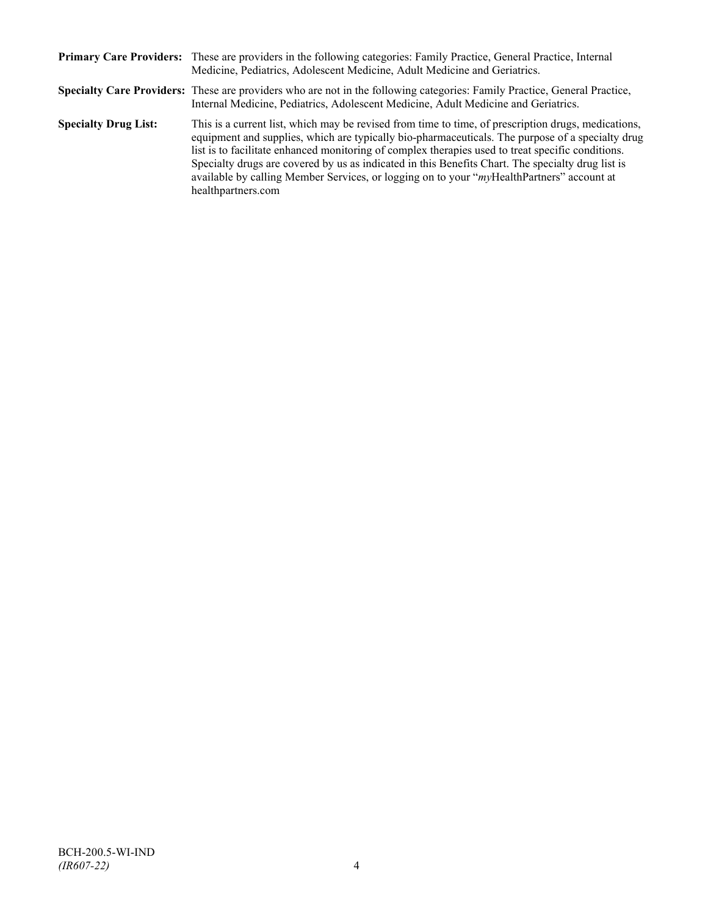|                             | Primary Care Providers: These are providers in the following categories: Family Practice, General Practice, Internal<br>Medicine, Pediatrics, Adolescent Medicine, Adult Medicine and Geriatrics.                                                                                                                                                                                                                                                                                                                                    |
|-----------------------------|--------------------------------------------------------------------------------------------------------------------------------------------------------------------------------------------------------------------------------------------------------------------------------------------------------------------------------------------------------------------------------------------------------------------------------------------------------------------------------------------------------------------------------------|
|                             | Specialty Care Providers: These are providers who are not in the following categories: Family Practice, General Practice,<br>Internal Medicine, Pediatrics, Adolescent Medicine, Adult Medicine and Geriatrics.                                                                                                                                                                                                                                                                                                                      |
| <b>Specialty Drug List:</b> | This is a current list, which may be revised from time to time, of prescription drugs, medications,<br>equipment and supplies, which are typically bio-pharmaceuticals. The purpose of a specialty drug<br>list is to facilitate enhanced monitoring of complex therapies used to treat specific conditions.<br>Specialty drugs are covered by us as indicated in this Benefits Chart. The specialty drug list is<br>available by calling Member Services, or logging on to your "myHealthPartners" account at<br>healthpartners.com |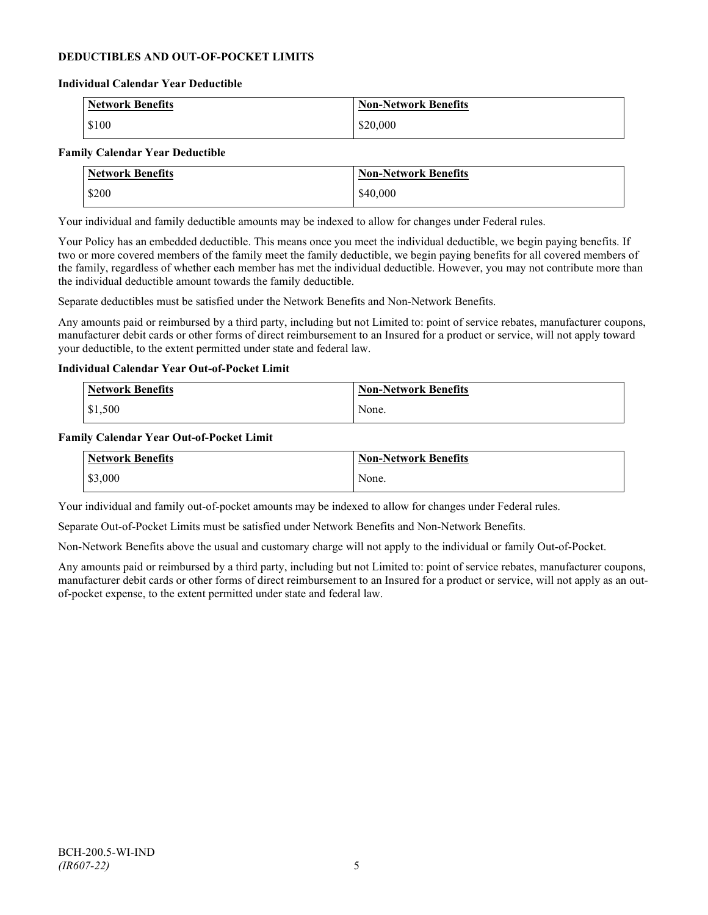## **DEDUCTIBLES AND OUT-OF-POCKET LIMITS**

#### **Individual Calendar Year Deductible**

| <b>Network Benefits</b> | <b>Non-Network Benefits</b> |
|-------------------------|-----------------------------|
| \$100                   | \$20,000                    |

#### **Family Calendar Year Deductible**

| <b>Network Benefits</b> | <b>Non-Network Benefits</b> |
|-------------------------|-----------------------------|
| \$200                   | \$40,000                    |

Your individual and family deductible amounts may be indexed to allow for changes under Federal rules.

Your Policy has an embedded deductible. This means once you meet the individual deductible, we begin paying benefits. If two or more covered members of the family meet the family deductible, we begin paying benefits for all covered members of the family, regardless of whether each member has met the individual deductible. However, you may not contribute more than the individual deductible amount towards the family deductible.

Separate deductibles must be satisfied under the Network Benefits and Non-Network Benefits.

Any amounts paid or reimbursed by a third party, including but not Limited to: point of service rebates, manufacturer coupons, manufacturer debit cards or other forms of direct reimbursement to an Insured for a product or service, will not apply toward your deductible, to the extent permitted under state and federal law.

#### **Individual Calendar Year Out-of-Pocket Limit**

| Network Benefits | <b>Non-Network Benefits</b> |
|------------------|-----------------------------|
| \$1,500          | None.                       |

#### **Family Calendar Year Out-of-Pocket Limit**

| Network Benefits | <b>Non-Network Benefits</b> |
|------------------|-----------------------------|
| \$3,000          | None.                       |

Your individual and family out-of-pocket amounts may be indexed to allow for changes under Federal rules.

Separate Out-of-Pocket Limits must be satisfied under Network Benefits and Non-Network Benefits.

Non-Network Benefits above the usual and customary charge will not apply to the individual or family Out-of-Pocket.

Any amounts paid or reimbursed by a third party, including but not Limited to: point of service rebates, manufacturer coupons, manufacturer debit cards or other forms of direct reimbursement to an Insured for a product or service, will not apply as an outof-pocket expense, to the extent permitted under state and federal law.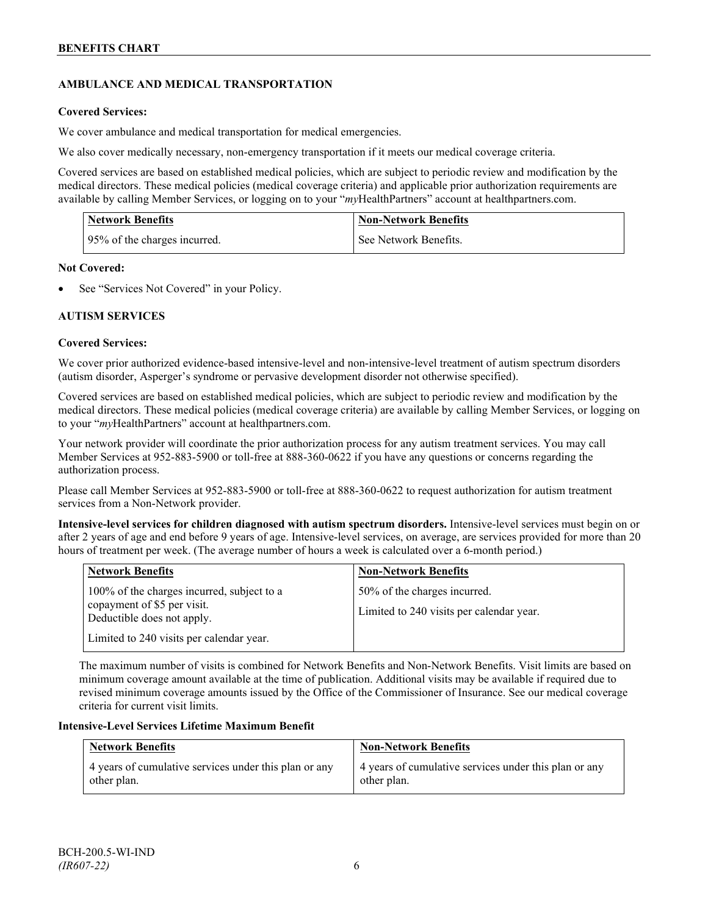## **AMBULANCE AND MEDICAL TRANSPORTATION**

## **Covered Services:**

We cover ambulance and medical transportation for medical emergencies.

We also cover medically necessary, non-emergency transportation if it meets our medical coverage criteria.

Covered services are based on established medical policies, which are subject to periodic review and modification by the medical directors. These medical policies (medical coverage criteria) and applicable prior authorization requirements are available by calling Member Services, or logging on to your "*my*HealthPartners" account a[t healthpartners.com.](http://www.healthpartners.com/)

| <b>Network Benefits</b>      | <b>Non-Network Benefits</b> |
|------------------------------|-----------------------------|
| 95% of the charges incurred. | See Network Benefits.       |

## **Not Covered:**

See "Services Not Covered" in your Policy.

## **AUTISM SERVICES**

## **Covered Services:**

We cover prior authorized evidence-based intensive-level and non-intensive-level treatment of autism spectrum disorders (autism disorder, Asperger's syndrome or pervasive development disorder not otherwise specified).

Covered services are based on established medical policies, which are subject to periodic review and modification by the medical directors. These medical policies (medical coverage criteria) are available by calling Member Services, or logging on to your "*my*HealthPartners" account at [healthpartners.com.](http://www.healthpartners.com/)

Your network provider will coordinate the prior authorization process for any autism treatment services. You may call Member Services at 952-883-5900 or toll-free at 888-360-0622 if you have any questions or concerns regarding the authorization process.

Please call Member Services at 952-883-5900 or toll-free at 888-360-0622 to request authorization for autism treatment services from a Non-Network provider.

**Intensive-level services for children diagnosed with autism spectrum disorders.** Intensive-level services must begin on or after 2 years of age and end before 9 years of age. Intensive-level services, on average, are services provided for more than 20 hours of treatment per week. (The average number of hours a week is calculated over a 6-month period.)

| <b>Network Benefits</b>                                                                                 | <b>Non-Network Benefits</b>                                              |
|---------------------------------------------------------------------------------------------------------|--------------------------------------------------------------------------|
| 100% of the charges incurred, subject to a<br>copayment of \$5 per visit.<br>Deductible does not apply. | 50% of the charges incurred.<br>Limited to 240 visits per calendar year. |
| Limited to 240 visits per calendar year.                                                                |                                                                          |

The maximum number of visits is combined for Network Benefits and Non-Network Benefits. Visit limits are based on minimum coverage amount available at the time of publication. Additional visits may be available if required due to revised minimum coverage amounts issued by the Office of the Commissioner of Insurance. See our medical coverage criteria for current visit limits.

## **Intensive-Level Services Lifetime Maximum Benefit**

| <b>Network Benefits</b>                               | <b>Non-Network Benefits</b>                           |
|-------------------------------------------------------|-------------------------------------------------------|
| 4 years of cumulative services under this plan or any | 4 years of cumulative services under this plan or any |
| other plan.                                           | other plan.                                           |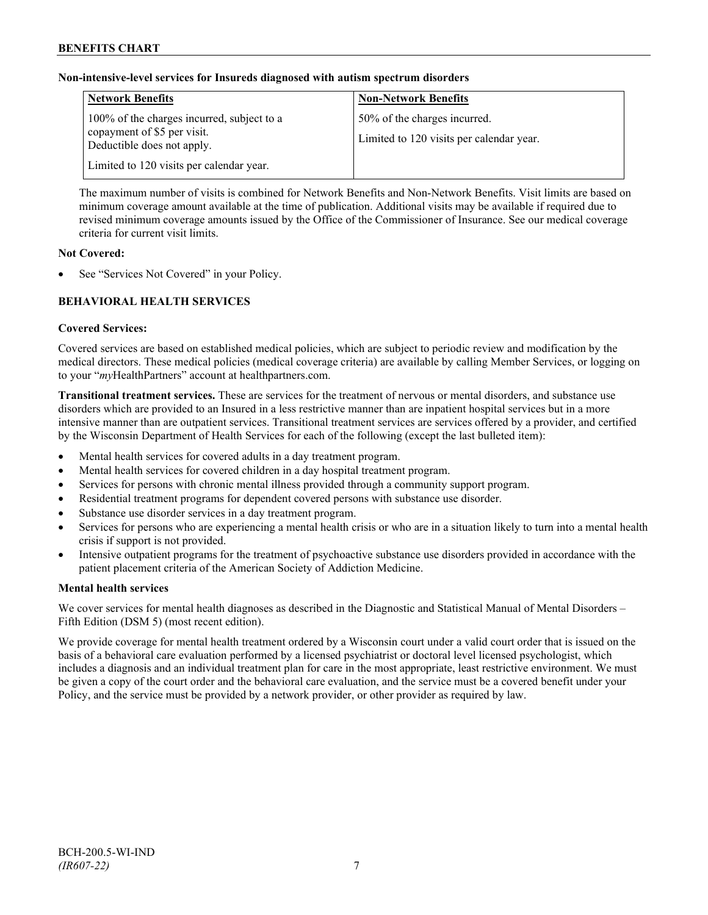## **Non-intensive-level services for Insureds diagnosed with autism spectrum disorders**

| <b>Network Benefits</b>                                                                                 | <b>Non-Network Benefits</b>                                              |
|---------------------------------------------------------------------------------------------------------|--------------------------------------------------------------------------|
| 100% of the charges incurred, subject to a<br>copayment of \$5 per visit.<br>Deductible does not apply. | 50% of the charges incurred.<br>Limited to 120 visits per calendar year. |
| Limited to 120 visits per calendar year.                                                                |                                                                          |

The maximum number of visits is combined for Network Benefits and Non-Network Benefits. Visit limits are based on minimum coverage amount available at the time of publication. Additional visits may be available if required due to revised minimum coverage amounts issued by the Office of the Commissioner of Insurance. See our medical coverage criteria for current visit limits.

## **Not Covered:**

See "Services Not Covered" in your Policy.

## **BEHAVIORAL HEALTH SERVICES**

#### **Covered Services:**

Covered services are based on established medical policies, which are subject to periodic review and modification by the medical directors. These medical policies (medical coverage criteria) are available by calling Member Services, or logging on to your "*my*HealthPartners" account at [healthpartners.com.](http://www.healthpartners.com/)

**Transitional treatment services.** These are services for the treatment of nervous or mental disorders, and substance use disorders which are provided to an Insured in a less restrictive manner than are inpatient hospital services but in a more intensive manner than are outpatient services. Transitional treatment services are services offered by a provider, and certified by the Wisconsin Department of Health Services for each of the following (except the last bulleted item):

- Mental health services for covered adults in a day treatment program.
- Mental health services for covered children in a day hospital treatment program.
- Services for persons with chronic mental illness provided through a community support program.
- Residential treatment programs for dependent covered persons with substance use disorder.
- Substance use disorder services in a day treatment program.
- Services for persons who are experiencing a mental health crisis or who are in a situation likely to turn into a mental health crisis if support is not provided.
- Intensive outpatient programs for the treatment of psychoactive substance use disorders provided in accordance with the patient placement criteria of the American Society of Addiction Medicine.

## **Mental health services**

We cover services for mental health diagnoses as described in the Diagnostic and Statistical Manual of Mental Disorders – Fifth Edition (DSM 5) (most recent edition).

We provide coverage for mental health treatment ordered by a Wisconsin court under a valid court order that is issued on the basis of a behavioral care evaluation performed by a licensed psychiatrist or doctoral level licensed psychologist, which includes a diagnosis and an individual treatment plan for care in the most appropriate, least restrictive environment. We must be given a copy of the court order and the behavioral care evaluation, and the service must be a covered benefit under your Policy, and the service must be provided by a network provider, or other provider as required by law.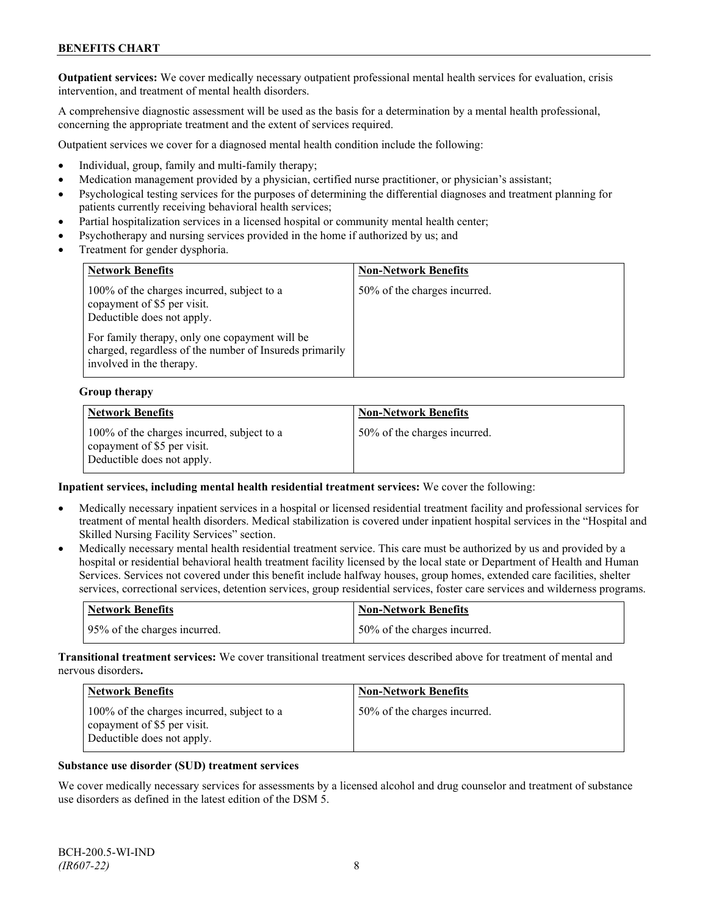**Outpatient services:** We cover medically necessary outpatient professional mental health services for evaluation, crisis intervention, and treatment of mental health disorders.

A comprehensive diagnostic assessment will be used as the basis for a determination by a mental health professional, concerning the appropriate treatment and the extent of services required.

Outpatient services we cover for a diagnosed mental health condition include the following:

- Individual, group, family and multi-family therapy;
- Medication management provided by a physician, certified nurse practitioner, or physician's assistant;
- Psychological testing services for the purposes of determining the differential diagnoses and treatment planning for patients currently receiving behavioral health services;
- Partial hospitalization services in a licensed hospital or community mental health center;
- Psychotherapy and nursing services provided in the home if authorized by us; and
- Treatment for gender dysphoria.

| <b>Network Benefits</b>                                                                                                               | <b>Non-Network Benefits</b>  |
|---------------------------------------------------------------------------------------------------------------------------------------|------------------------------|
| 100% of the charges incurred, subject to a<br>copayment of \$5 per visit.<br>Deductible does not apply.                               | 50% of the charges incurred. |
| For family therapy, only one copayment will be<br>charged, regardless of the number of Insureds primarily<br>involved in the therapy. |                              |

#### **Group therapy**

| <b>Network Benefits</b>                                                                                 | <b>Non-Network Benefits</b>   |
|---------------------------------------------------------------------------------------------------------|-------------------------------|
| 100% of the charges incurred, subject to a<br>copayment of \$5 per visit.<br>Deductible does not apply. | 150% of the charges incurred. |

#### **Inpatient services, including mental health residential treatment services:** We cover the following:

- Medically necessary inpatient services in a hospital or licensed residential treatment facility and professional services for treatment of mental health disorders. Medical stabilization is covered under inpatient hospital services in the "Hospital and Skilled Nursing Facility Services" section.
- Medically necessary mental health residential treatment service. This care must be authorized by us and provided by a hospital or residential behavioral health treatment facility licensed by the local state or Department of Health and Human Services. Services not covered under this benefit include halfway houses, group homes, extended care facilities, shelter services, correctional services, detention services, group residential services, foster care services and wilderness programs.

| Network Benefits             | Non-Network Benefits         |
|------------------------------|------------------------------|
| 95% of the charges incurred. | 50% of the charges incurred. |

**Transitional treatment services:** We cover transitional treatment services described above for treatment of mental and nervous disorders**.**

| <b>Network Benefits</b>                                                                                 | <b>Non-Network Benefits</b>  |
|---------------------------------------------------------------------------------------------------------|------------------------------|
| 100% of the charges incurred, subject to a<br>copayment of \$5 per visit.<br>Deductible does not apply. | 50% of the charges incurred. |

#### **Substance use disorder (SUD) treatment services**

We cover medically necessary services for assessments by a licensed alcohol and drug counselor and treatment of substance use disorders as defined in the latest edition of the DSM 5.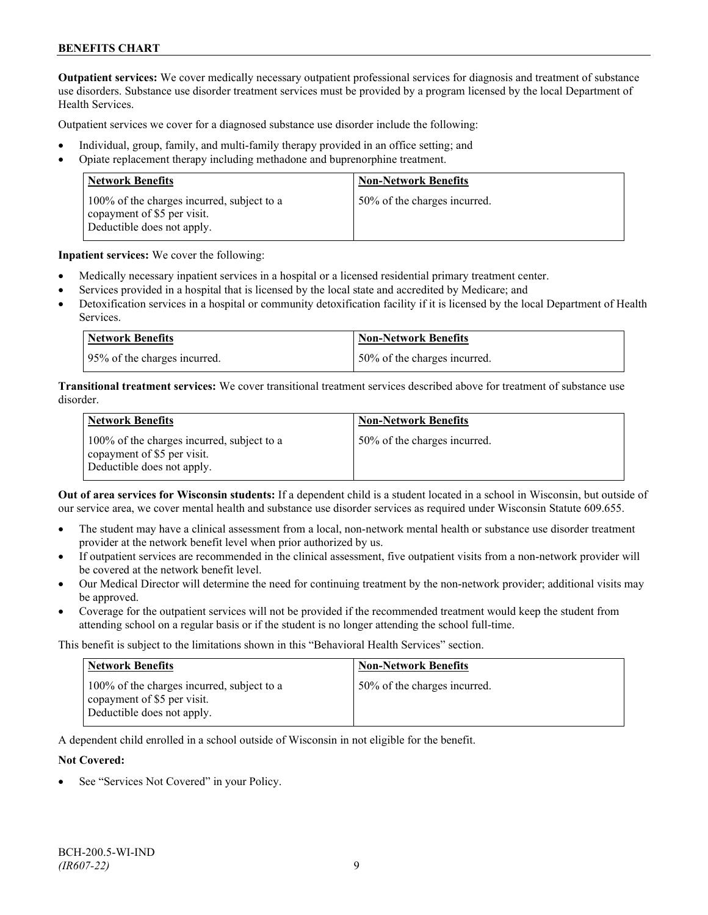**Outpatient services:** We cover medically necessary outpatient professional services for diagnosis and treatment of substance use disorders. Substance use disorder treatment services must be provided by a program licensed by the local Department of Health Services.

Outpatient services we cover for a diagnosed substance use disorder include the following:

- Individual, group, family, and multi-family therapy provided in an office setting; and
- Opiate replacement therapy including methadone and buprenorphine treatment.

| <b>Network Benefits</b>                                                                                 | <b>Non-Network Benefits</b>  |
|---------------------------------------------------------------------------------------------------------|------------------------------|
| 100% of the charges incurred, subject to a<br>copayment of \$5 per visit.<br>Deductible does not apply. | 50% of the charges incurred. |

**Inpatient services:** We cover the following:

- Medically necessary inpatient services in a hospital or a licensed residential primary treatment center.
- Services provided in a hospital that is licensed by the local state and accredited by Medicare; and
- Detoxification services in a hospital or community detoxification facility if it is licensed by the local Department of Health Services.

| Network Benefits             | <b>Non-Network Benefits</b>  |
|------------------------------|------------------------------|
| 95% of the charges incurred. | 50% of the charges incurred. |

**Transitional treatment services:** We cover transitional treatment services described above for treatment of substance use disorder.

| <b>Network Benefits</b>                                                                                 | <b>Non-Network Benefits</b>  |
|---------------------------------------------------------------------------------------------------------|------------------------------|
| 100% of the charges incurred, subject to a<br>copayment of \$5 per visit.<br>Deductible does not apply. | 50% of the charges incurred. |

**Out of area services for Wisconsin students:** If a dependent child is a student located in a school in Wisconsin, but outside of our service area, we cover mental health and substance use disorder services as required under Wisconsin Statute 609.655.

- The student may have a clinical assessment from a local, non-network mental health or substance use disorder treatment provider at the network benefit level when prior authorized by us.
- If outpatient services are recommended in the clinical assessment, five outpatient visits from a non-network provider will be covered at the network benefit level.
- Our Medical Director will determine the need for continuing treatment by the non-network provider; additional visits may be approved.
- Coverage for the outpatient services will not be provided if the recommended treatment would keep the student from attending school on a regular basis or if the student is no longer attending the school full-time.

This benefit is subject to the limitations shown in this "Behavioral Health Services" section.

| <b>Network Benefits</b>                                                                                 | <b>Non-Network Benefits</b>  |
|---------------------------------------------------------------------------------------------------------|------------------------------|
| 100% of the charges incurred, subject to a<br>copayment of \$5 per visit.<br>Deductible does not apply. | 50% of the charges incurred. |

A dependent child enrolled in a school outside of Wisconsin in not eligible for the benefit.

#### **Not Covered:**

See "Services Not Covered" in your Policy.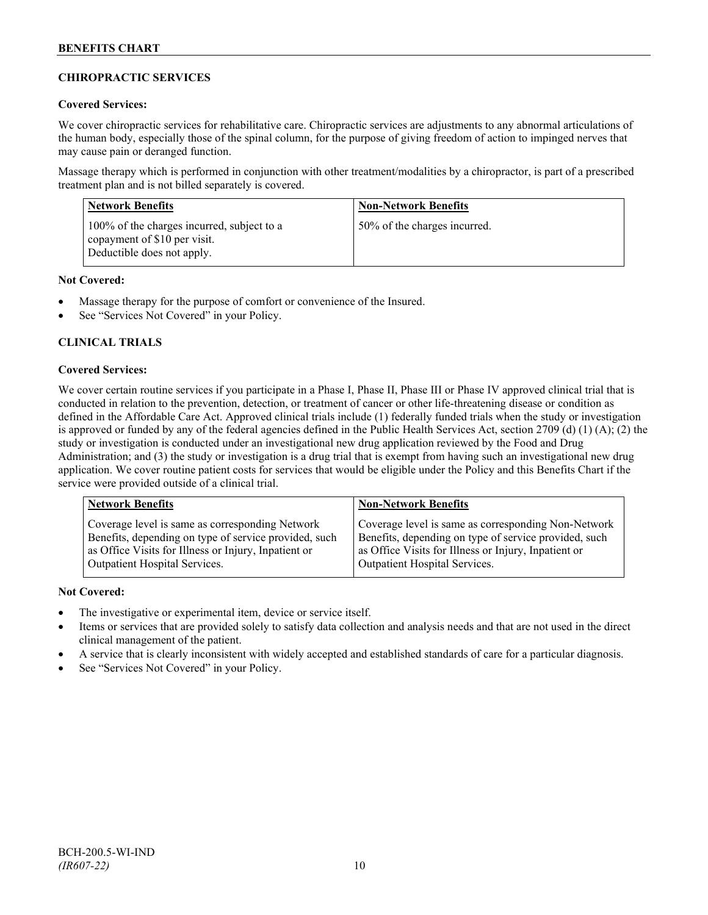## **CHIROPRACTIC SERVICES**

## **Covered Services:**

We cover chiropractic services for rehabilitative care. Chiropractic services are adjustments to any abnormal articulations of the human body, especially those of the spinal column, for the purpose of giving freedom of action to impinged nerves that may cause pain or deranged function.

Massage therapy which is performed in conjunction with other treatment/modalities by a chiropractor, is part of a prescribed treatment plan and is not billed separately is covered.

| <b>Network Benefits</b>                                                                                  | <b>Non-Network Benefits</b>  |
|----------------------------------------------------------------------------------------------------------|------------------------------|
| 100% of the charges incurred, subject to a<br>copayment of \$10 per visit.<br>Deductible does not apply. | 50% of the charges incurred. |

## **Not Covered:**

- Massage therapy for the purpose of comfort or convenience of the Insured.
- See "Services Not Covered" in your Policy.

## **CLINICAL TRIALS**

## **Covered Services:**

We cover certain routine services if you participate in a Phase I, Phase II, Phase III or Phase IV approved clinical trial that is conducted in relation to the prevention, detection, or treatment of cancer or other life-threatening disease or condition as defined in the Affordable Care Act. Approved clinical trials include (1) federally funded trials when the study or investigation is approved or funded by any of the federal agencies defined in the Public Health Services Act, section 2709 (d) (1) (A); (2) the study or investigation is conducted under an investigational new drug application reviewed by the Food and Drug Administration; and (3) the study or investigation is a drug trial that is exempt from having such an investigational new drug application. We cover routine patient costs for services that would be eligible under the Policy and this Benefits Chart if the service were provided outside of a clinical trial.

| <b>Network Benefits</b>                               | <b>Non-Network Benefits</b>                           |
|-------------------------------------------------------|-------------------------------------------------------|
| Coverage level is same as corresponding Network       | Coverage level is same as corresponding Non-Network   |
| Benefits, depending on type of service provided, such | Benefits, depending on type of service provided, such |
| as Office Visits for Illness or Injury, Inpatient or  | as Office Visits for Illness or Injury, Inpatient or  |
| Outpatient Hospital Services.                         | Outpatient Hospital Services.                         |

## **Not Covered:**

- The investigative or experimental item, device or service itself.
- Items or services that are provided solely to satisfy data collection and analysis needs and that are not used in the direct clinical management of the patient.
- A service that is clearly inconsistent with widely accepted and established standards of care for a particular diagnosis.
- See "Services Not Covered" in your Policy.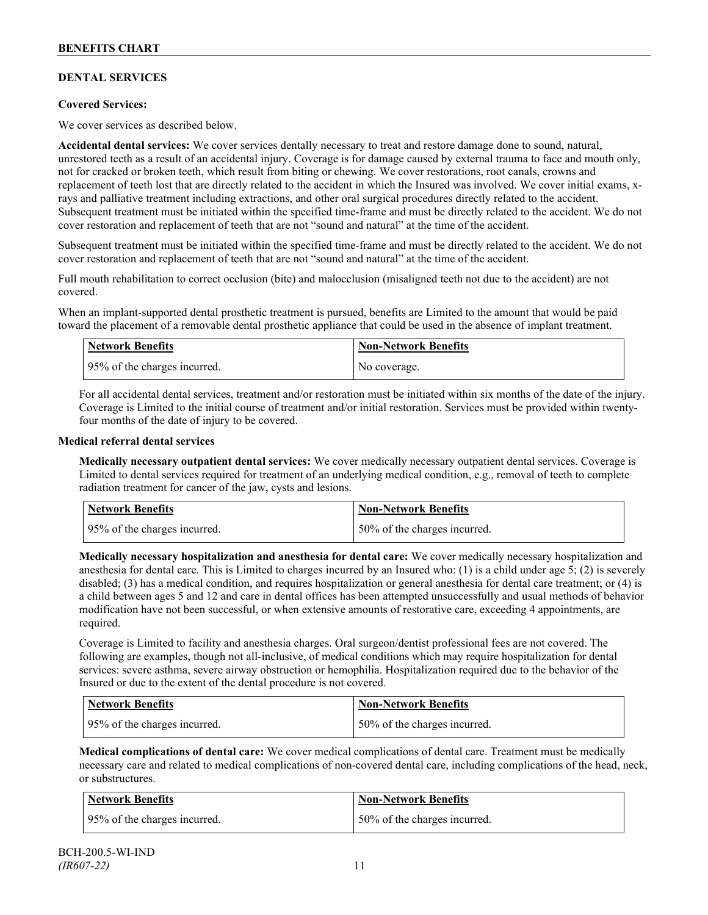## **DENTAL SERVICES**

## **Covered Services:**

We cover services as described below.

**Accidental dental services:** We cover services dentally necessary to treat and restore damage done to sound, natural, unrestored teeth as a result of an accidental injury. Coverage is for damage caused by external trauma to face and mouth only, not for cracked or broken teeth, which result from biting or chewing. We cover restorations, root canals, crowns and replacement of teeth lost that are directly related to the accident in which the Insured was involved. We cover initial exams, xrays and palliative treatment including extractions, and other oral surgical procedures directly related to the accident. Subsequent treatment must be initiated within the specified time-frame and must be directly related to the accident. We do not cover restoration and replacement of teeth that are not "sound and natural" at the time of the accident.

Subsequent treatment must be initiated within the specified time-frame and must be directly related to the accident. We do not cover restoration and replacement of teeth that are not "sound and natural" at the time of the accident.

Full mouth rehabilitation to correct occlusion (bite) and malocclusion (misaligned teeth not due to the accident) are not covered.

When an implant-supported dental prosthetic treatment is pursued, benefits are Limited to the amount that would be paid toward the placement of a removable dental prosthetic appliance that could be used in the absence of implant treatment.

| <b>Network Benefits</b>      | <b>Non-Network Benefits</b> |
|------------------------------|-----------------------------|
| 95% of the charges incurred. | No coverage.                |

For all accidental dental services, treatment and/or restoration must be initiated within six months of the date of the injury. Coverage is Limited to the initial course of treatment and/or initial restoration. Services must be provided within twentyfour months of the date of injury to be covered.

#### **Medical referral dental services**

**Medically necessary outpatient dental services:** We cover medically necessary outpatient dental services. Coverage is Limited to dental services required for treatment of an underlying medical condition, e.g., removal of teeth to complete radiation treatment for cancer of the jaw, cysts and lesions.

| Network Benefits             | <b>Non-Network Benefits</b>  |
|------------------------------|------------------------------|
| 95% of the charges incurred. | 50% of the charges incurred. |

**Medically necessary hospitalization and anesthesia for dental care:** We cover medically necessary hospitalization and anesthesia for dental care. This is Limited to charges incurred by an Insured who: (1) is a child under age 5; (2) is severely disabled; (3) has a medical condition, and requires hospitalization or general anesthesia for dental care treatment; or (4) is a child between ages 5 and 12 and care in dental offices has been attempted unsuccessfully and usual methods of behavior modification have not been successful, or when extensive amounts of restorative care, exceeding 4 appointments, are required.

Coverage is Limited to facility and anesthesia charges. Oral surgeon/dentist professional fees are not covered. The following are examples, though not all-inclusive, of medical conditions which may require hospitalization for dental services: severe asthma, severe airway obstruction or hemophilia. Hospitalization required due to the behavior of the Insured or due to the extent of the dental procedure is not covered.

| Network Benefits             | <b>Non-Network Benefits</b>  |
|------------------------------|------------------------------|
| 95% of the charges incurred. | 50% of the charges incurred. |

**Medical complications of dental care:** We cover medical complications of dental care. Treatment must be medically necessary care and related to medical complications of non-covered dental care, including complications of the head, neck, or substructures.

| Network Benefits             | Non-Network Benefits         |
|------------------------------|------------------------------|
| 95% of the charges incurred. | 50% of the charges incurred. |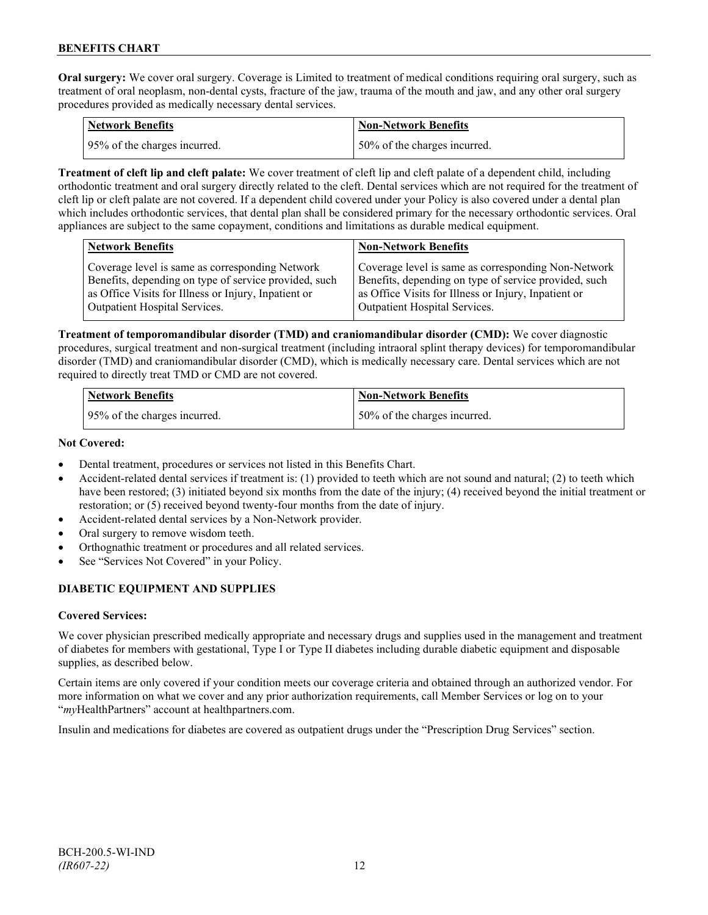**Oral surgery:** We cover oral surgery. Coverage is Limited to treatment of medical conditions requiring oral surgery, such as treatment of oral neoplasm, non-dental cysts, fracture of the jaw, trauma of the mouth and jaw, and any other oral surgery procedures provided as medically necessary dental services.

| <b>Network Benefits</b>      | <b>Non-Network Benefits</b>  |
|------------------------------|------------------------------|
| 95% of the charges incurred. | 50% of the charges incurred. |

**Treatment of cleft lip and cleft palate:** We cover treatment of cleft lip and cleft palate of a dependent child, including orthodontic treatment and oral surgery directly related to the cleft. Dental services which are not required for the treatment of cleft lip or cleft palate are not covered. If a dependent child covered under your Policy is also covered under a dental plan which includes orthodontic services, that dental plan shall be considered primary for the necessary orthodontic services. Oral appliances are subject to the same copayment, conditions and limitations as durable medical equipment.

| <b>Network Benefits</b>                               | <b>Non-Network Benefits</b>                           |
|-------------------------------------------------------|-------------------------------------------------------|
| Coverage level is same as corresponding Network       | Coverage level is same as corresponding Non-Network   |
| Benefits, depending on type of service provided, such | Benefits, depending on type of service provided, such |
| as Office Visits for Illness or Injury, Inpatient or  | as Office Visits for Illness or Injury, Inpatient or  |
| Outpatient Hospital Services.                         | Outpatient Hospital Services.                         |

**Treatment of temporomandibular disorder (TMD) and craniomandibular disorder (CMD):** We cover diagnostic procedures, surgical treatment and non-surgical treatment (including intraoral splint therapy devices) for temporomandibular disorder (TMD) and craniomandibular disorder (CMD), which is medically necessary care. Dental services which are not required to directly treat TMD or CMD are not covered.

| <b>Network Benefits</b>      | Non-Network Benefits         |
|------------------------------|------------------------------|
| 95% of the charges incurred. | 50% of the charges incurred. |

## **Not Covered:**

- Dental treatment, procedures or services not listed in this Benefits Chart.
- Accident-related dental services if treatment is: (1) provided to teeth which are not sound and natural; (2) to teeth which have been restored; (3) initiated beyond six months from the date of the injury; (4) received beyond the initial treatment or restoration; or (5) received beyond twenty-four months from the date of injury.
- Accident-related dental services by a Non-Network provider.
- Oral surgery to remove wisdom teeth.
- Orthognathic treatment or procedures and all related services.
- See "Services Not Covered" in your Policy.

## **DIABETIC EQUIPMENT AND SUPPLIES**

## **Covered Services:**

We cover physician prescribed medically appropriate and necessary drugs and supplies used in the management and treatment of diabetes for members with gestational, Type I or Type II diabetes including durable diabetic equipment and disposable supplies, as described below.

Certain items are only covered if your condition meets our coverage criteria and obtained through an authorized vendor. For more information on what we cover and any prior authorization requirements, call Member Services or log on to your "*my*HealthPartners" account at [healthpartners.com.](http://www.healthpartners.com/)

Insulin and medications for diabetes are covered as outpatient drugs under the "Prescription Drug Services" section.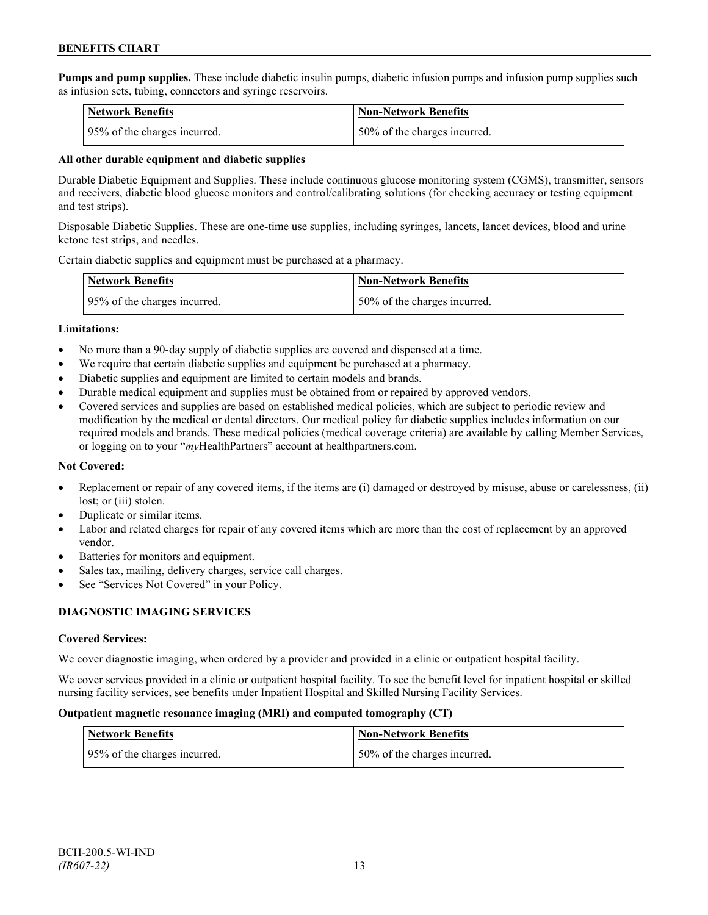**Pumps and pump supplies.** These include diabetic insulin pumps, diabetic infusion pumps and infusion pump supplies such as infusion sets, tubing, connectors and syringe reservoirs.

| <b>Network Benefits</b>      | <b>Non-Network Benefits</b>  |
|------------------------------|------------------------------|
| 95% of the charges incurred. | 50% of the charges incurred. |

#### **All other durable equipment and diabetic supplies**

Durable Diabetic Equipment and Supplies. These include continuous glucose monitoring system (CGMS), transmitter, sensors and receivers, diabetic blood glucose monitors and control/calibrating solutions (for checking accuracy or testing equipment and test strips).

Disposable Diabetic Supplies. These are one-time use supplies, including syringes, lancets, lancet devices, blood and urine ketone test strips, and needles.

Certain diabetic supplies and equipment must be purchased at a pharmacy.

| <b>Network Benefits</b>      | <b>Non-Network Benefits</b>  |
|------------------------------|------------------------------|
| 95% of the charges incurred. | 50% of the charges incurred. |

#### **Limitations:**

- No more than a 90-day supply of diabetic supplies are covered and dispensed at a time.
- We require that certain diabetic supplies and equipment be purchased at a pharmacy.
- Diabetic supplies and equipment are limited to certain models and brands.
- Durable medical equipment and supplies must be obtained from or repaired by approved vendors.
- Covered services and supplies are based on established medical policies, which are subject to periodic review and modification by the medical or dental directors. Our medical policy for diabetic supplies includes information on our required models and brands. These medical policies (medical coverage criteria) are available by calling Member Services, or logging on to your "*my*HealthPartners" account at healthpartners.com.

## **Not Covered:**

- Replacement or repair of any covered items, if the items are (i) damaged or destroyed by misuse, abuse or carelessness, (ii) lost; or (iii) stolen.
- Duplicate or similar items.
- Labor and related charges for repair of any covered items which are more than the cost of replacement by an approved vendor.
- Batteries for monitors and equipment.
- Sales tax, mailing, delivery charges, service call charges.
- See "Services Not Covered" in your Policy.

## **DIAGNOSTIC IMAGING SERVICES**

## **Covered Services:**

We cover diagnostic imaging, when ordered by a provider and provided in a clinic or outpatient hospital facility.

We cover services provided in a clinic or outpatient hospital facility. To see the benefit level for inpatient hospital or skilled nursing facility services, see benefits under Inpatient Hospital and Skilled Nursing Facility Services.

#### **Outpatient magnetic resonance imaging (MRI) and computed tomography (CT)**

| Network Benefits             | <b>Non-Network Benefits</b>  |
|------------------------------|------------------------------|
| 95% of the charges incurred. | 50% of the charges incurred. |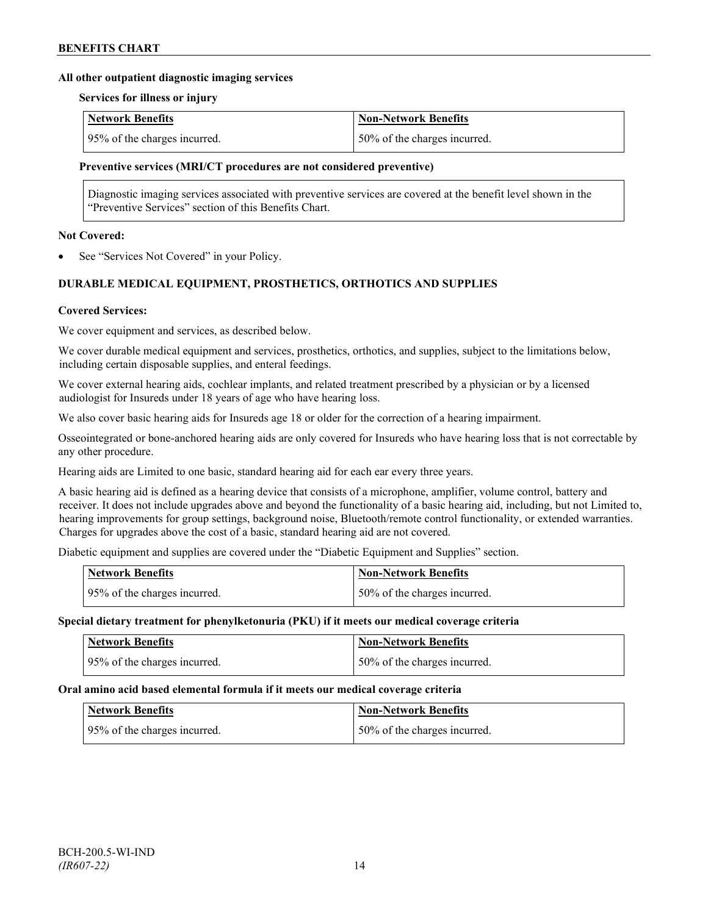#### **All other outpatient diagnostic imaging services**

#### **Services for illness or injury**

| <b>Network Benefits</b>      | Non-Network Benefits          |
|------------------------------|-------------------------------|
| 95% of the charges incurred. | 150% of the charges incurred. |

#### **Preventive services (MRI/CT procedures are not considered preventive)**

Diagnostic imaging services associated with preventive services are covered at the benefit level shown in the "Preventive Services" section of this Benefits Chart.

#### **Not Covered:**

See "Services Not Covered" in your Policy.

## **DURABLE MEDICAL EQUIPMENT, PROSTHETICS, ORTHOTICS AND SUPPLIES**

#### **Covered Services:**

We cover equipment and services, as described below.

We cover durable medical equipment and services, prosthetics, orthotics, and supplies, subject to the limitations below, including certain disposable supplies, and enteral feedings.

We cover external hearing aids, cochlear implants, and related treatment prescribed by a physician or by a licensed audiologist for Insureds under 18 years of age who have hearing loss.

We also cover basic hearing aids for Insureds age 18 or older for the correction of a hearing impairment.

Osseointegrated or bone-anchored hearing aids are only covered for Insureds who have hearing loss that is not correctable by any other procedure.

Hearing aids are Limited to one basic, standard hearing aid for each ear every three years.

A basic hearing aid is defined as a hearing device that consists of a microphone, amplifier, volume control, battery and receiver. It does not include upgrades above and beyond the functionality of a basic hearing aid, including, but not Limited to, hearing improvements for group settings, background noise, Bluetooth/remote control functionality, or extended warranties. Charges for upgrades above the cost of a basic, standard hearing aid are not covered.

Diabetic equipment and supplies are covered under the "Diabetic Equipment and Supplies" section.

| Network Benefits             | Non-Network Benefits         |
|------------------------------|------------------------------|
| 95% of the charges incurred. | 50% of the charges incurred. |

#### **Special dietary treatment for phenylketonuria (PKU) if it meets our medical coverage criteria**

| <b>Network Benefits</b>      | <b>Non-Network Benefits</b>  |
|------------------------------|------------------------------|
| 95% of the charges incurred. | 50% of the charges incurred. |

#### **Oral amino acid based elemental formula if it meets our medical coverage criteria**

| <b>Network Benefits</b>      | <b>Non-Network Benefits</b>  |
|------------------------------|------------------------------|
| 95% of the charges incurred. | 50% of the charges incurred. |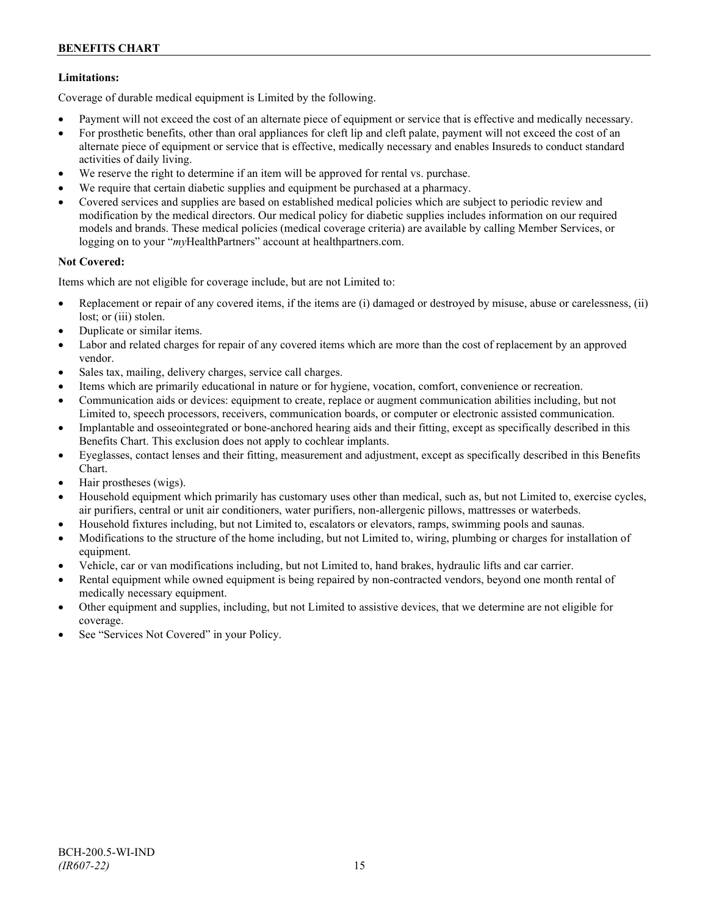## **Limitations:**

Coverage of durable medical equipment is Limited by the following.

- Payment will not exceed the cost of an alternate piece of equipment or service that is effective and medically necessary.
- For prosthetic benefits, other than oral appliances for cleft lip and cleft palate, payment will not exceed the cost of an alternate piece of equipment or service that is effective, medically necessary and enables Insureds to conduct standard activities of daily living.
- We reserve the right to determine if an item will be approved for rental vs. purchase.
- We require that certain diabetic supplies and equipment be purchased at a pharmacy.
- Covered services and supplies are based on established medical policies which are subject to periodic review and modification by the medical directors. Our medical policy for diabetic supplies includes information on our required models and brands. These medical policies (medical coverage criteria) are available by calling Member Services, or logging on to your "*my*HealthPartners" account at [healthpartners.com.](http://www.healthpartners.com/)

## **Not Covered:**

Items which are not eligible for coverage include, but are not Limited to:

- Replacement or repair of any covered items, if the items are (i) damaged or destroyed by misuse, abuse or carelessness, (ii) lost; or (iii) stolen.
- Duplicate or similar items.
- Labor and related charges for repair of any covered items which are more than the cost of replacement by an approved vendor.
- Sales tax, mailing, delivery charges, service call charges.
- Items which are primarily educational in nature or for hygiene, vocation, comfort, convenience or recreation.
- Communication aids or devices: equipment to create, replace or augment communication abilities including, but not Limited to, speech processors, receivers, communication boards, or computer or electronic assisted communication.
- Implantable and osseointegrated or bone-anchored hearing aids and their fitting, except as specifically described in this Benefits Chart. This exclusion does not apply to cochlear implants.
- Eyeglasses, contact lenses and their fitting, measurement and adjustment, except as specifically described in this Benefits Chart.
- Hair prostheses (wigs).
- Household equipment which primarily has customary uses other than medical, such as, but not Limited to, exercise cycles, air purifiers, central or unit air conditioners, water purifiers, non-allergenic pillows, mattresses or waterbeds.
- Household fixtures including, but not Limited to, escalators or elevators, ramps, swimming pools and saunas.
- Modifications to the structure of the home including, but not Limited to, wiring, plumbing or charges for installation of equipment.
- Vehicle, car or van modifications including, but not Limited to, hand brakes, hydraulic lifts and car carrier.
- Rental equipment while owned equipment is being repaired by non-contracted vendors, beyond one month rental of medically necessary equipment.
- Other equipment and supplies, including, but not Limited to assistive devices, that we determine are not eligible for coverage.
- See "Services Not Covered" in your Policy.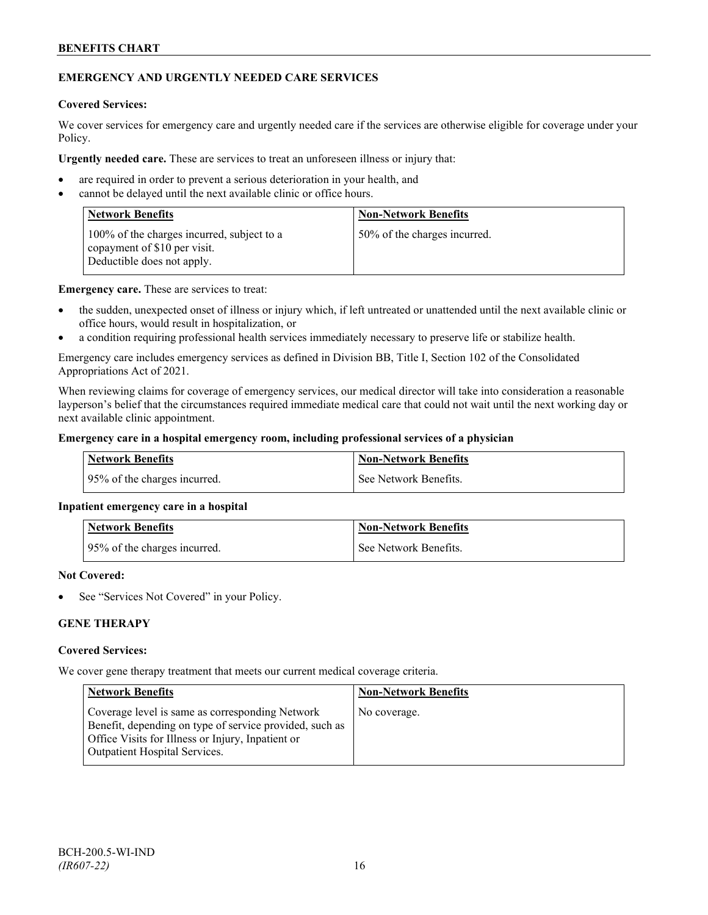## **EMERGENCY AND URGENTLY NEEDED CARE SERVICES**

#### **Covered Services:**

We cover services for emergency care and urgently needed care if the services are otherwise eligible for coverage under your Policy.

**Urgently needed care.** These are services to treat an unforeseen illness or injury that:

- are required in order to prevent a serious deterioration in your health, and
- cannot be delayed until the next available clinic or office hours.

| <b>Network Benefits</b>                                                                                  | <b>Non-Network Benefits</b>  |
|----------------------------------------------------------------------------------------------------------|------------------------------|
| 100% of the charges incurred, subject to a<br>copayment of \$10 per visit.<br>Deductible does not apply. | 50% of the charges incurred. |

**Emergency care.** These are services to treat:

- the sudden, unexpected onset of illness or injury which, if left untreated or unattended until the next available clinic or office hours, would result in hospitalization, or
- a condition requiring professional health services immediately necessary to preserve life or stabilize health.

Emergency care includes emergency services as defined in Division BB, Title I, Section 102 of the Consolidated Appropriations Act of 2021.

When reviewing claims for coverage of emergency services, our medical director will take into consideration a reasonable layperson's belief that the circumstances required immediate medical care that could not wait until the next working day or next available clinic appointment.

#### **Emergency care in a hospital emergency room, including professional services of a physician**

| Network Benefits             | <b>Non-Network Benefits</b> |
|------------------------------|-----------------------------|
| 95% of the charges incurred. | See Network Benefits.       |

## **Inpatient emergency care in a hospital**

| <b>Network Benefits</b>      | <b>Non-Network Benefits</b> |
|------------------------------|-----------------------------|
| 95% of the charges incurred. | See Network Benefits.       |

#### **Not Covered:**

See "Services Not Covered" in your Policy.

## **GENE THERAPY**

#### **Covered Services:**

We cover gene therapy treatment that meets our current medical coverage criteria.

| <b>Network Benefits</b>                                                                                                                                                                                 | <b>Non-Network Benefits</b> |
|---------------------------------------------------------------------------------------------------------------------------------------------------------------------------------------------------------|-----------------------------|
| Coverage level is same as corresponding Network<br>Benefit, depending on type of service provided, such as<br>Office Visits for Illness or Injury, Inpatient or<br><b>Outpatient Hospital Services.</b> | No coverage.                |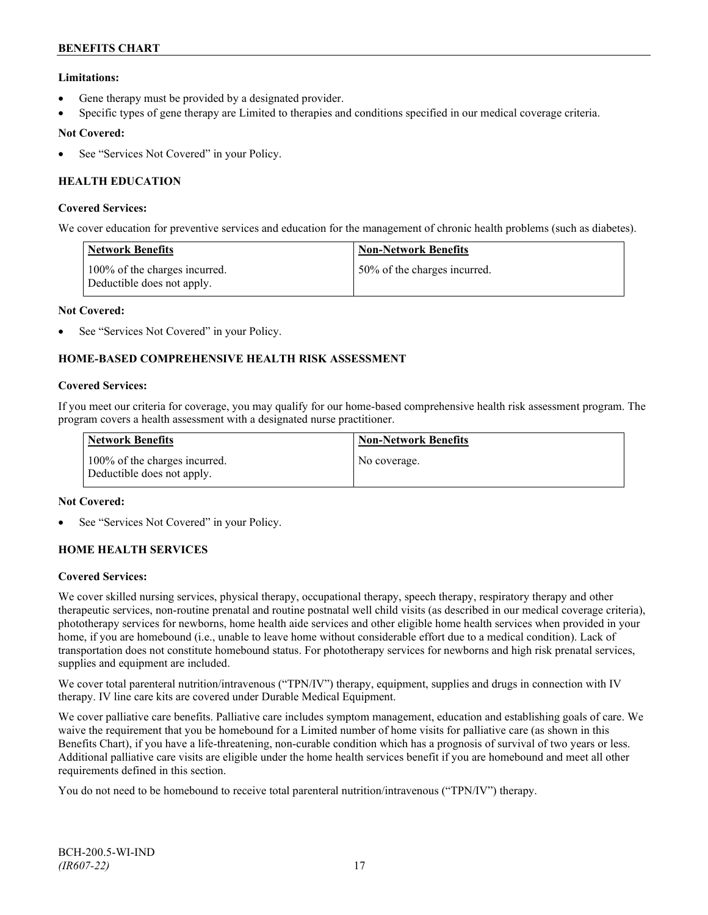## **Limitations:**

- Gene therapy must be provided by a designated provider.
- Specific types of gene therapy are Limited to therapies and conditions specified in our medical coverage criteria.

## **Not Covered:**

See "Services Not Covered" in your Policy.

## **HEALTH EDUCATION**

#### **Covered Services:**

We cover education for preventive services and education for the management of chronic health problems (such as diabetes).

| <b>Network Benefits</b>                                     | <b>Non-Network Benefits</b>  |
|-------------------------------------------------------------|------------------------------|
| 100% of the charges incurred.<br>Deductible does not apply. | 50% of the charges incurred. |

#### **Not Covered:**

See "Services Not Covered" in your Policy.

## **HOME-BASED COMPREHENSIVE HEALTH RISK ASSESSMENT**

#### **Covered Services:**

If you meet our criteria for coverage, you may qualify for our home-based comprehensive health risk assessment program. The program covers a health assessment with a designated nurse practitioner.

| <b>Network Benefits</b>                                     | <b>Non-Network Benefits</b> |
|-------------------------------------------------------------|-----------------------------|
| 100% of the charges incurred.<br>Deductible does not apply. | No coverage.                |

#### **Not Covered:**

See "Services Not Covered" in your Policy.

## **HOME HEALTH SERVICES**

#### **Covered Services:**

We cover skilled nursing services, physical therapy, occupational therapy, speech therapy, respiratory therapy and other therapeutic services, non-routine prenatal and routine postnatal well child visits (as described in our medical coverage criteria), phototherapy services for newborns, home health aide services and other eligible home health services when provided in your home, if you are homebound (i.e., unable to leave home without considerable effort due to a medical condition). Lack of transportation does not constitute homebound status. For phototherapy services for newborns and high risk prenatal services, supplies and equipment are included.

We cover total parenteral nutrition/intravenous ("TPN/IV") therapy, equipment, supplies and drugs in connection with IV therapy. IV line care kits are covered under Durable Medical Equipment.

We cover palliative care benefits. Palliative care includes symptom management, education and establishing goals of care. We waive the requirement that you be homebound for a Limited number of home visits for palliative care (as shown in this Benefits Chart), if you have a life-threatening, non-curable condition which has a prognosis of survival of two years or less. Additional palliative care visits are eligible under the home health services benefit if you are homebound and meet all other requirements defined in this section.

You do not need to be homebound to receive total parenteral nutrition/intravenous ("TPN/IV") therapy.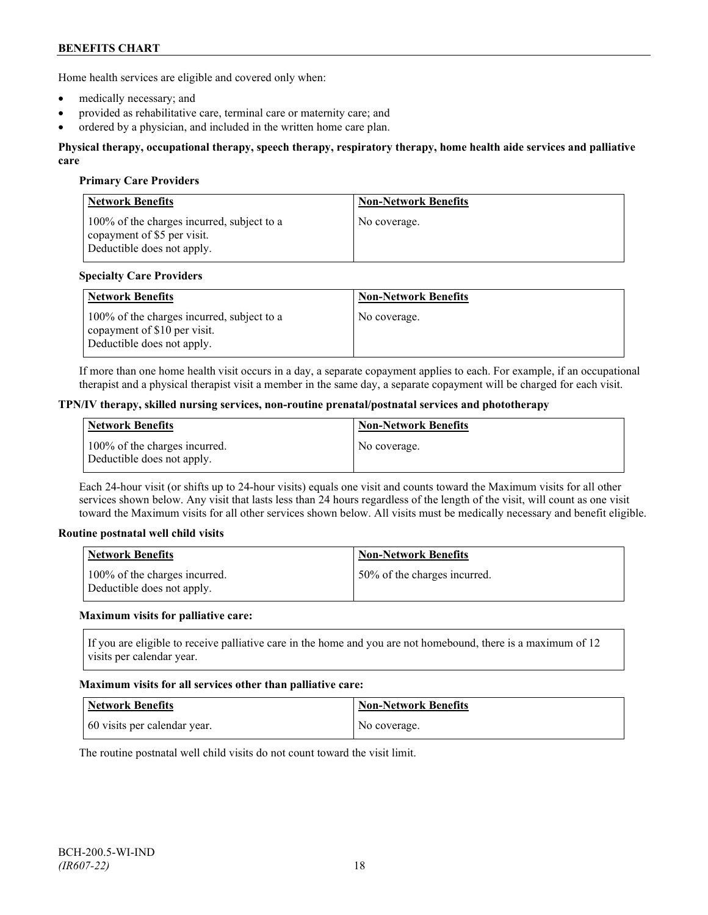Home health services are eligible and covered only when:

- medically necessary; and
- provided as rehabilitative care, terminal care or maternity care; and
- ordered by a physician, and included in the written home care plan.

#### **Physical therapy, occupational therapy, speech therapy, respiratory therapy, home health aide services and palliative care**

#### **Primary Care Providers**

| <b>Network Benefits</b>                                                                                 | <b>Non-Network Benefits</b> |
|---------------------------------------------------------------------------------------------------------|-----------------------------|
| 100% of the charges incurred, subject to a<br>copayment of \$5 per visit.<br>Deductible does not apply. | No coverage.                |

#### **Specialty Care Providers**

| <b>Network Benefits</b>                                                                                  | <b>Non-Network Benefits</b> |
|----------------------------------------------------------------------------------------------------------|-----------------------------|
| 100% of the charges incurred, subject to a<br>copayment of \$10 per visit.<br>Deductible does not apply. | No coverage.                |

If more than one home health visit occurs in a day, a separate copayment applies to each. For example, if an occupational therapist and a physical therapist visit a member in the same day, a separate copayment will be charged for each visit.

#### **TPN/IV therapy, skilled nursing services, non-routine prenatal/postnatal services and phototherapy**

| Network Benefits                                            | <b>Non-Network Benefits</b> |
|-------------------------------------------------------------|-----------------------------|
| 100% of the charges incurred.<br>Deductible does not apply. | No coverage.                |

Each 24-hour visit (or shifts up to 24-hour visits) equals one visit and counts toward the Maximum visits for all other services shown below. Any visit that lasts less than 24 hours regardless of the length of the visit, will count as one visit toward the Maximum visits for all other services shown below. All visits must be medically necessary and benefit eligible.

#### **Routine postnatal well child visits**

| Network Benefits                                            | <b>Non-Network Benefits</b>  |
|-------------------------------------------------------------|------------------------------|
| 100% of the charges incurred.<br>Deductible does not apply. | 50% of the charges incurred. |

#### **Maximum visits for palliative care:**

If you are eligible to receive palliative care in the home and you are not homebound, there is a maximum of 12 visits per calendar year.

#### **Maximum visits for all services other than palliative care:**

| Network Benefits             | <b>Non-Network Benefits</b> |
|------------------------------|-----------------------------|
| 60 visits per calendar year. | No coverage.                |

The routine postnatal well child visits do not count toward the visit limit.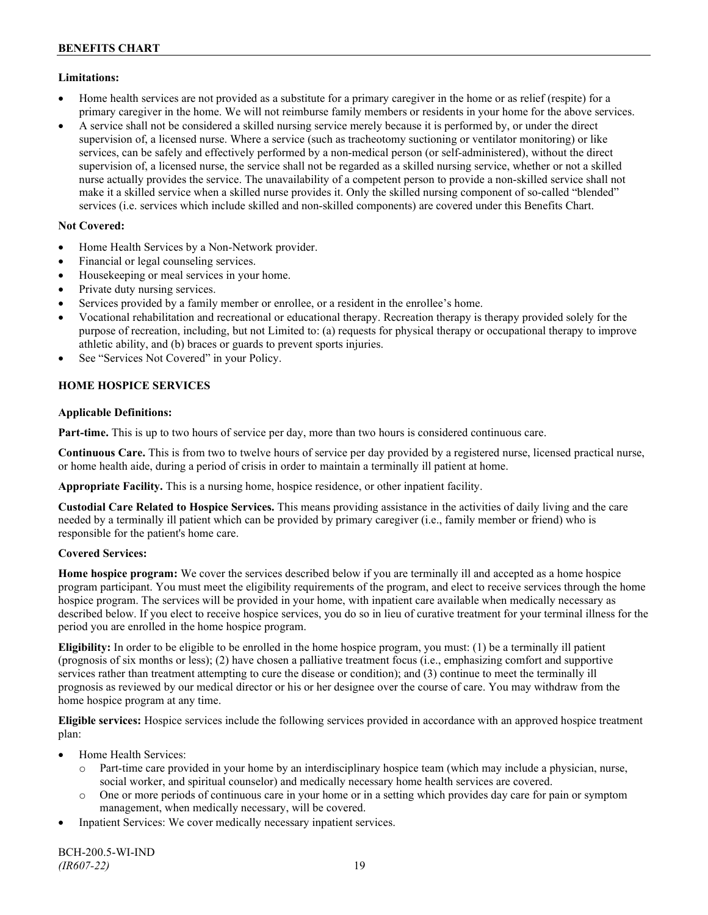## **Limitations:**

- Home health services are not provided as a substitute for a primary caregiver in the home or as relief (respite) for a primary caregiver in the home. We will not reimburse family members or residents in your home for the above services.
- A service shall not be considered a skilled nursing service merely because it is performed by, or under the direct supervision of, a licensed nurse. Where a service (such as tracheotomy suctioning or ventilator monitoring) or like services, can be safely and effectively performed by a non-medical person (or self-administered), without the direct supervision of, a licensed nurse, the service shall not be regarded as a skilled nursing service, whether or not a skilled nurse actually provides the service. The unavailability of a competent person to provide a non-skilled service shall not make it a skilled service when a skilled nurse provides it. Only the skilled nursing component of so-called "blended" services (i.e. services which include skilled and non-skilled components) are covered under this Benefits Chart.

## **Not Covered:**

- Home Health Services by a Non-Network provider.
- Financial or legal counseling services.
- Housekeeping or meal services in your home.
- Private duty nursing services.
- Services provided by a family member or enrollee, or a resident in the enrollee's home.
- Vocational rehabilitation and recreational or educational therapy. Recreation therapy is therapy provided solely for the purpose of recreation, including, but not Limited to: (a) requests for physical therapy or occupational therapy to improve athletic ability, and (b) braces or guards to prevent sports injuries.
- See "Services Not Covered" in your Policy.

## **HOME HOSPICE SERVICES**

## **Applicable Definitions:**

**Part-time.** This is up to two hours of service per day, more than two hours is considered continuous care.

**Continuous Care.** This is from two to twelve hours of service per day provided by a registered nurse, licensed practical nurse, or home health aide, during a period of crisis in order to maintain a terminally ill patient at home.

**Appropriate Facility.** This is a nursing home, hospice residence, or other inpatient facility.

**Custodial Care Related to Hospice Services.** This means providing assistance in the activities of daily living and the care needed by a terminally ill patient which can be provided by primary caregiver (i.e., family member or friend) who is responsible for the patient's home care.

## **Covered Services:**

**Home hospice program:** We cover the services described below if you are terminally ill and accepted as a home hospice program participant. You must meet the eligibility requirements of the program, and elect to receive services through the home hospice program. The services will be provided in your home, with inpatient care available when medically necessary as described below. If you elect to receive hospice services, you do so in lieu of curative treatment for your terminal illness for the period you are enrolled in the home hospice program.

**Eligibility:** In order to be eligible to be enrolled in the home hospice program, you must: (1) be a terminally ill patient (prognosis of six months or less); (2) have chosen a palliative treatment focus (i.e., emphasizing comfort and supportive services rather than treatment attempting to cure the disease or condition); and (3) continue to meet the terminally ill prognosis as reviewed by our medical director or his or her designee over the course of care. You may withdraw from the home hospice program at any time.

**Eligible services:** Hospice services include the following services provided in accordance with an approved hospice treatment plan:

- Home Health Services:
	- o Part-time care provided in your home by an interdisciplinary hospice team (which may include a physician, nurse, social worker, and spiritual counselor) and medically necessary home health services are covered.
	- o One or more periods of continuous care in your home or in a setting which provides day care for pain or symptom management, when medically necessary, will be covered.
- Inpatient Services: We cover medically necessary inpatient services.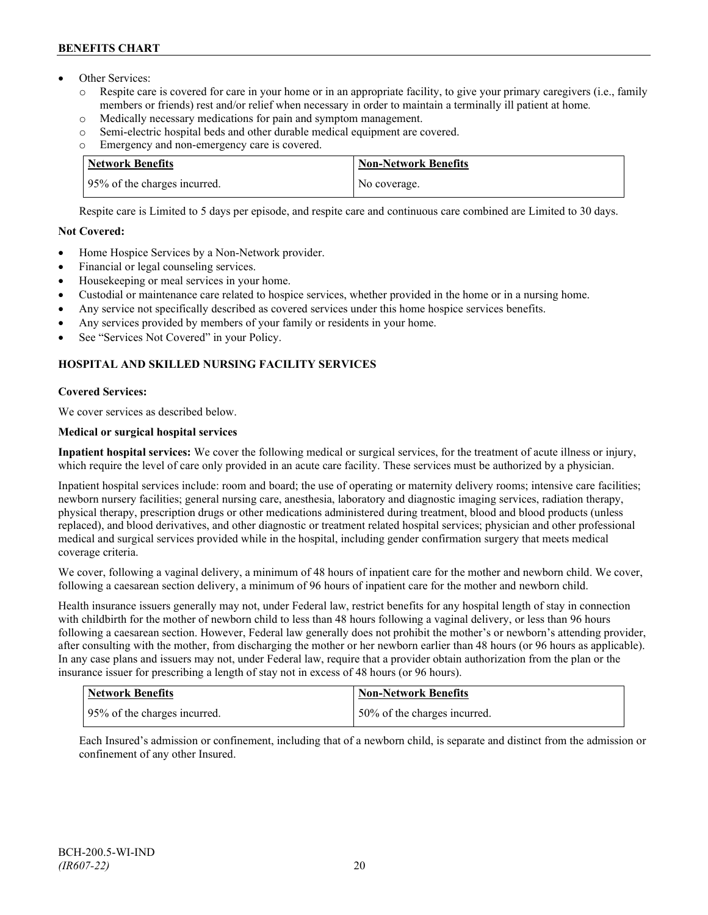- Other Services:
	- o Respite care is covered for care in your home or in an appropriate facility, to give your primary caregivers (i.e., family members or friends) rest and/or relief when necessary in order to maintain a terminally ill patient at home*.*
	- o Medically necessary medications for pain and symptom management.
	- o Semi-electric hospital beds and other durable medical equipment are covered.
	- o Emergency and non-emergency care is covered.

| Network Benefits             | <b>Non-Network Benefits</b> |
|------------------------------|-----------------------------|
| 95% of the charges incurred. | No coverage.                |

Respite care is Limited to 5 days per episode, and respite care and continuous care combined are Limited to 30 days.

## **Not Covered:**

- Home Hospice Services by a Non-Network provider.
- Financial or legal counseling services.
- Housekeeping or meal services in your home.
- Custodial or maintenance care related to hospice services, whether provided in the home or in a nursing home.
- Any service not specifically described as covered services under this home hospice services benefits.
- Any services provided by members of your family or residents in your home.
- See "Services Not Covered" in your Policy.

## **HOSPITAL AND SKILLED NURSING FACILITY SERVICES**

## **Covered Services:**

We cover services as described below.

## **Medical or surgical hospital services**

**Inpatient hospital services:** We cover the following medical or surgical services, for the treatment of acute illness or injury, which require the level of care only provided in an acute care facility. These services must be authorized by a physician.

Inpatient hospital services include: room and board; the use of operating or maternity delivery rooms; intensive care facilities; newborn nursery facilities; general nursing care, anesthesia, laboratory and diagnostic imaging services, radiation therapy, physical therapy, prescription drugs or other medications administered during treatment, blood and blood products (unless replaced), and blood derivatives, and other diagnostic or treatment related hospital services; physician and other professional medical and surgical services provided while in the hospital, including gender confirmation surgery that meets medical coverage criteria.

We cover, following a vaginal delivery, a minimum of 48 hours of inpatient care for the mother and newborn child. We cover, following a caesarean section delivery, a minimum of 96 hours of inpatient care for the mother and newborn child.

Health insurance issuers generally may not, under Federal law, restrict benefits for any hospital length of stay in connection with childbirth for the mother of newborn child to less than 48 hours following a vaginal delivery, or less than 96 hours following a caesarean section. However, Federal law generally does not prohibit the mother's or newborn's attending provider, after consulting with the mother, from discharging the mother or her newborn earlier than 48 hours (or 96 hours as applicable). In any case plans and issuers may not, under Federal law, require that a provider obtain authorization from the plan or the insurance issuer for prescribing a length of stay not in excess of 48 hours (or 96 hours).

| Network Benefits             | <b>Non-Network Benefits</b>  |
|------------------------------|------------------------------|
| 95% of the charges incurred. | 50% of the charges incurred. |

Each Insured's admission or confinement, including that of a newborn child, is separate and distinct from the admission or confinement of any other Insured.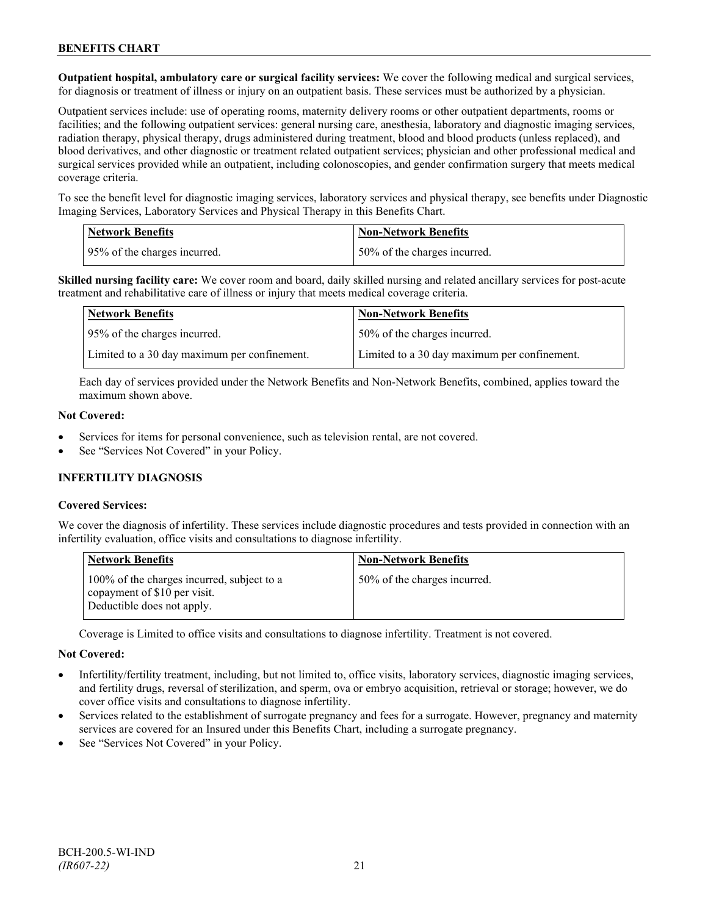**Outpatient hospital, ambulatory care or surgical facility services:** We cover the following medical and surgical services, for diagnosis or treatment of illness or injury on an outpatient basis. These services must be authorized by a physician.

Outpatient services include: use of operating rooms, maternity delivery rooms or other outpatient departments, rooms or facilities; and the following outpatient services: general nursing care, anesthesia, laboratory and diagnostic imaging services, radiation therapy, physical therapy, drugs administered during treatment, blood and blood products (unless replaced), and blood derivatives, and other diagnostic or treatment related outpatient services; physician and other professional medical and surgical services provided while an outpatient, including colonoscopies, and gender confirmation surgery that meets medical coverage criteria.

To see the benefit level for diagnostic imaging services, laboratory services and physical therapy, see benefits under Diagnostic Imaging Services, Laboratory Services and Physical Therapy in this Benefits Chart.

| <b>Network Benefits</b>      | <b>Non-Network Benefits</b>  |
|------------------------------|------------------------------|
| 95% of the charges incurred. | 50% of the charges incurred. |

**Skilled nursing facility care:** We cover room and board, daily skilled nursing and related ancillary services for post-acute treatment and rehabilitative care of illness or injury that meets medical coverage criteria.

| Network Benefits                             | <b>Non-Network Benefits</b>                  |
|----------------------------------------------|----------------------------------------------|
| 95% of the charges incurred.                 | 50% of the charges incurred.                 |
| Limited to a 30 day maximum per confinement. | Limited to a 30 day maximum per confinement. |

Each day of services provided under the Network Benefits and Non-Network Benefits, combined, applies toward the maximum shown above.

#### **Not Covered:**

- Services for items for personal convenience, such as television rental, are not covered.
- See "Services Not Covered" in your Policy.

## **INFERTILITY DIAGNOSIS**

#### **Covered Services:**

We cover the diagnosis of infertility. These services include diagnostic procedures and tests provided in connection with an infertility evaluation, office visits and consultations to diagnose infertility.

| <b>Network Benefits</b>                                                                                  | <b>Non-Network Benefits</b>  |
|----------------------------------------------------------------------------------------------------------|------------------------------|
| 100% of the charges incurred, subject to a<br>copayment of \$10 per visit.<br>Deductible does not apply. | 50% of the charges incurred. |

Coverage is Limited to office visits and consultations to diagnose infertility. Treatment is not covered.

#### **Not Covered:**

- Infertility/fertility treatment, including, but not limited to, office visits, laboratory services, diagnostic imaging services, and fertility drugs, reversal of sterilization, and sperm, ova or embryo acquisition, retrieval or storage; however, we do cover office visits and consultations to diagnose infertility.
- Services related to the establishment of surrogate pregnancy and fees for a surrogate. However, pregnancy and maternity services are covered for an Insured under this Benefits Chart, including a surrogate pregnancy.
- See "Services Not Covered" in your Policy.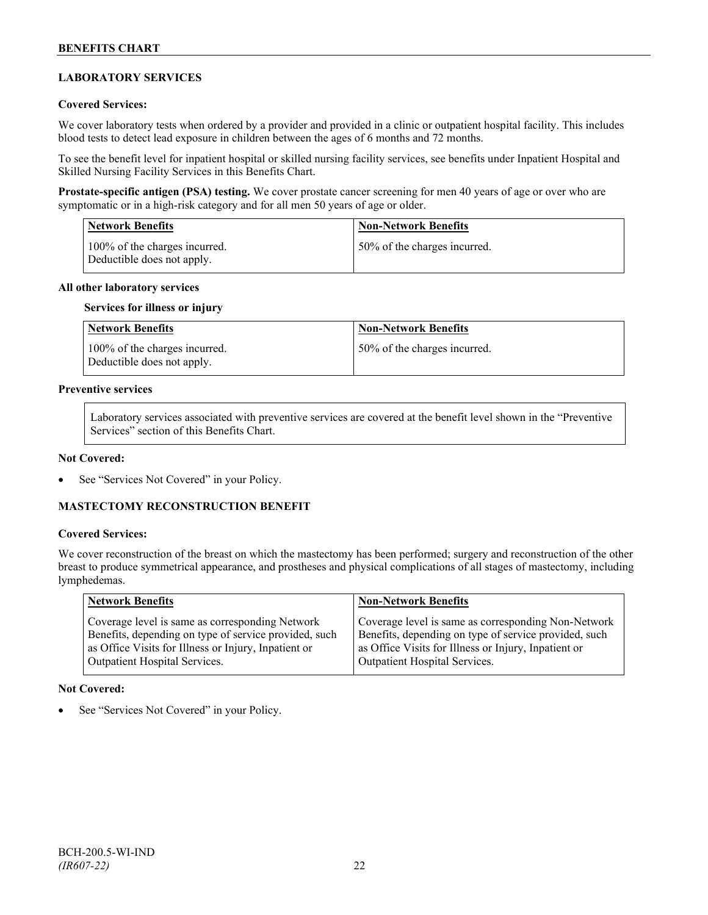## **LABORATORY SERVICES**

#### **Covered Services:**

We cover laboratory tests when ordered by a provider and provided in a clinic or outpatient hospital facility. This includes blood tests to detect lead exposure in children between the ages of 6 months and 72 months.

To see the benefit level for inpatient hospital or skilled nursing facility services, see benefits under Inpatient Hospital and Skilled Nursing Facility Services in this Benefits Chart.

**Prostate-specific antigen (PSA) testing.** We cover prostate cancer screening for men 40 years of age or over who are symptomatic or in a high-risk category and for all men 50 years of age or older.

| <b>Network Benefits</b>                                     | <b>Non-Network Benefits</b>  |
|-------------------------------------------------------------|------------------------------|
| 100% of the charges incurred.<br>Deductible does not apply. | 50% of the charges incurred. |

#### **All other laboratory services**

#### **Services for illness or injury**

| Network Benefits                                            | <b>Non-Network Benefits</b>  |
|-------------------------------------------------------------|------------------------------|
| 100% of the charges incurred.<br>Deductible does not apply. | 50% of the charges incurred. |

## **Preventive services**

Laboratory services associated with preventive services are covered at the benefit level shown in the "Preventive Services" section of this Benefits Chart.

#### **Not Covered:**

See "Services Not Covered" in your Policy.

## **MASTECTOMY RECONSTRUCTION BENEFIT**

#### **Covered Services:**

We cover reconstruction of the breast on which the mastectomy has been performed; surgery and reconstruction of the other breast to produce symmetrical appearance, and prostheses and physical complications of all stages of mastectomy, including lymphedemas.

| Network Benefits                                      | <b>Non-Network Benefits</b>                           |
|-------------------------------------------------------|-------------------------------------------------------|
| Coverage level is same as corresponding Network       | Coverage level is same as corresponding Non-Network   |
| Benefits, depending on type of service provided, such | Benefits, depending on type of service provided, such |
| as Office Visits for Illness or Injury, Inpatient or  | as Office Visits for Illness or Injury, Inpatient or  |
| <b>Outpatient Hospital Services.</b>                  | Outpatient Hospital Services.                         |

#### **Not Covered:**

See "Services Not Covered" in your Policy.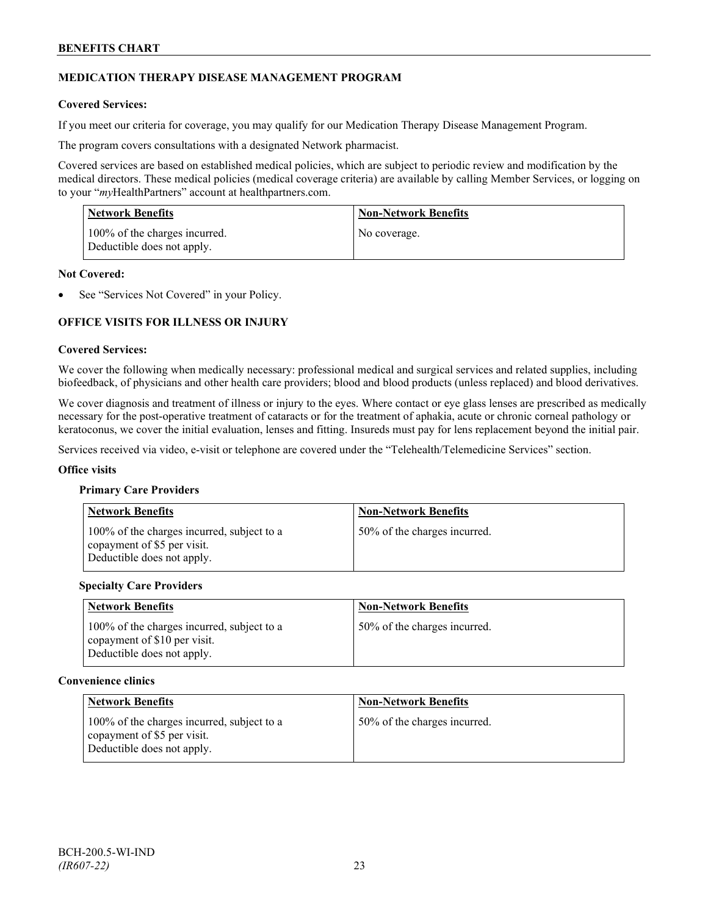## **MEDICATION THERAPY DISEASE MANAGEMENT PROGRAM**

## **Covered Services:**

If you meet our criteria for coverage, you may qualify for our Medication Therapy Disease Management Program.

The program covers consultations with a designated Network pharmacist.

Covered services are based on established medical policies, which are subject to periodic review and modification by the medical directors. These medical policies (medical coverage criteria) are available by calling Member Services, or logging on to your "*my*HealthPartners" account at [healthpartners.com.](http://www.healthpartners.com/)

| <b>Network Benefits</b>                                     | <b>Non-Network Benefits</b> |
|-------------------------------------------------------------|-----------------------------|
| 100% of the charges incurred.<br>Deductible does not apply. | No coverage.                |

#### **Not Covered:**

See "Services Not Covered" in your Policy.

## **OFFICE VISITS FOR ILLNESS OR INJURY**

#### **Covered Services:**

We cover the following when medically necessary: professional medical and surgical services and related supplies, including biofeedback, of physicians and other health care providers; blood and blood products (unless replaced) and blood derivatives.

We cover diagnosis and treatment of illness or injury to the eyes. Where contact or eye glass lenses are prescribed as medically necessary for the post-operative treatment of cataracts or for the treatment of aphakia, acute or chronic corneal pathology or keratoconus, we cover the initial evaluation, lenses and fitting. Insureds must pay for lens replacement beyond the initial pair.

Services received via video, e-visit or telephone are covered under the "Telehealth/Telemedicine Services" section.

#### **Office visits**

#### **Primary Care Providers**

| <b>Network Benefits</b>                                                                                 | <b>Non-Network Benefits</b>  |
|---------------------------------------------------------------------------------------------------------|------------------------------|
| 100% of the charges incurred, subject to a<br>copayment of \$5 per visit.<br>Deductible does not apply. | 50% of the charges incurred. |

#### **Specialty Care Providers**

| <b>Network Benefits</b>                                                                                  | <b>Non-Network Benefits</b>  |
|----------------------------------------------------------------------------------------------------------|------------------------------|
| 100% of the charges incurred, subject to a<br>copayment of \$10 per visit.<br>Deductible does not apply. | 50% of the charges incurred. |

#### **Convenience clinics**

| <b>Network Benefits</b>                                                                                 | <b>Non-Network Benefits</b>  |
|---------------------------------------------------------------------------------------------------------|------------------------------|
| 100% of the charges incurred, subject to a<br>copayment of \$5 per visit.<br>Deductible does not apply. | 50% of the charges incurred. |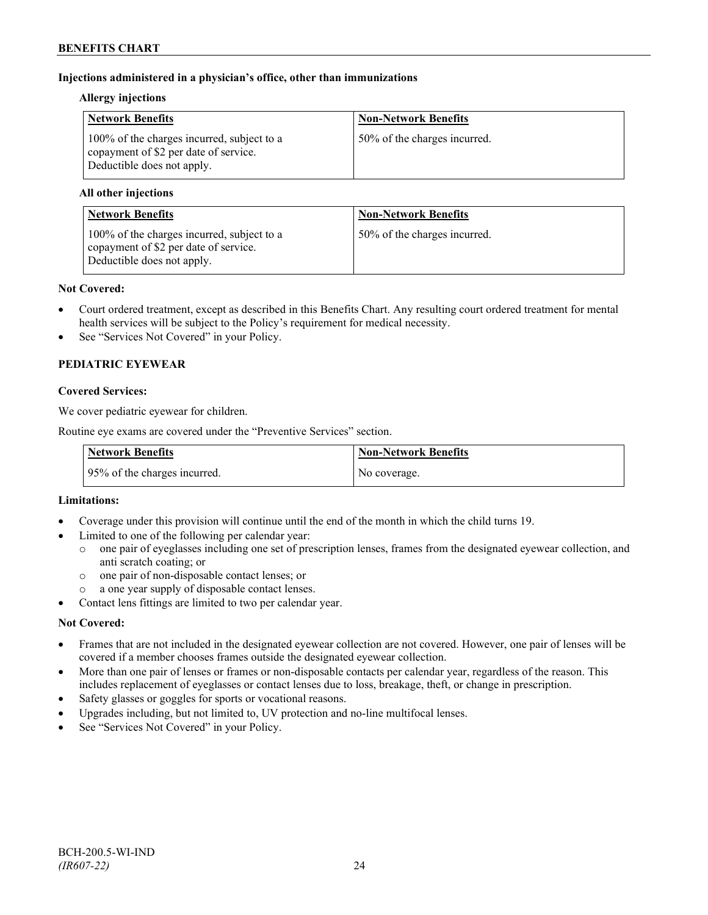## **Injections administered in a physician's office, other than immunizations**

#### **Allergy injections**

| <b>Network Benefits</b>                                                                                           | <b>Non-Network Benefits</b>  |
|-------------------------------------------------------------------------------------------------------------------|------------------------------|
| 100% of the charges incurred, subject to a<br>copayment of \$2 per date of service.<br>Deductible does not apply. | 50% of the charges incurred. |

## **All other injections**

| <b>Network Benefits</b>                                                                                           | <b>Non-Network Benefits</b>  |
|-------------------------------------------------------------------------------------------------------------------|------------------------------|
| 100% of the charges incurred, subject to a<br>copayment of \$2 per date of service.<br>Deductible does not apply. | 50% of the charges incurred. |

#### **Not Covered:**

- Court ordered treatment, except as described in this Benefits Chart. Any resulting court ordered treatment for mental health services will be subject to the Policy's requirement for medical necessity.
- See "Services Not Covered" in your Policy.

## **PEDIATRIC EYEWEAR**

## **Covered Services:**

We cover pediatric eyewear for children.

Routine eye exams are covered under the "Preventive Services" section.

| <b>Network Benefits</b>      | Non-Network Benefits |
|------------------------------|----------------------|
| 95% of the charges incurred. | No coverage.         |

## **Limitations:**

- Coverage under this provision will continue until the end of the month in which the child turns 19.
- Limited to one of the following per calendar year:
	- o one pair of eyeglasses including one set of prescription lenses, frames from the designated eyewear collection, and anti scratch coating; or
	- o one pair of non-disposable contact lenses; or
	- a one year supply of disposable contact lenses.
- Contact lens fittings are limited to two per calendar year.

## **Not Covered:**

- Frames that are not included in the designated eyewear collection are not covered. However, one pair of lenses will be covered if a member chooses frames outside the designated eyewear collection.
- More than one pair of lenses or frames or non-disposable contacts per calendar year, regardless of the reason. This includes replacement of eyeglasses or contact lenses due to loss, breakage, theft, or change in prescription.
- Safety glasses or goggles for sports or vocational reasons.
- Upgrades including, but not limited to, UV protection and no-line multifocal lenses.
- See "Services Not Covered" in your Policy.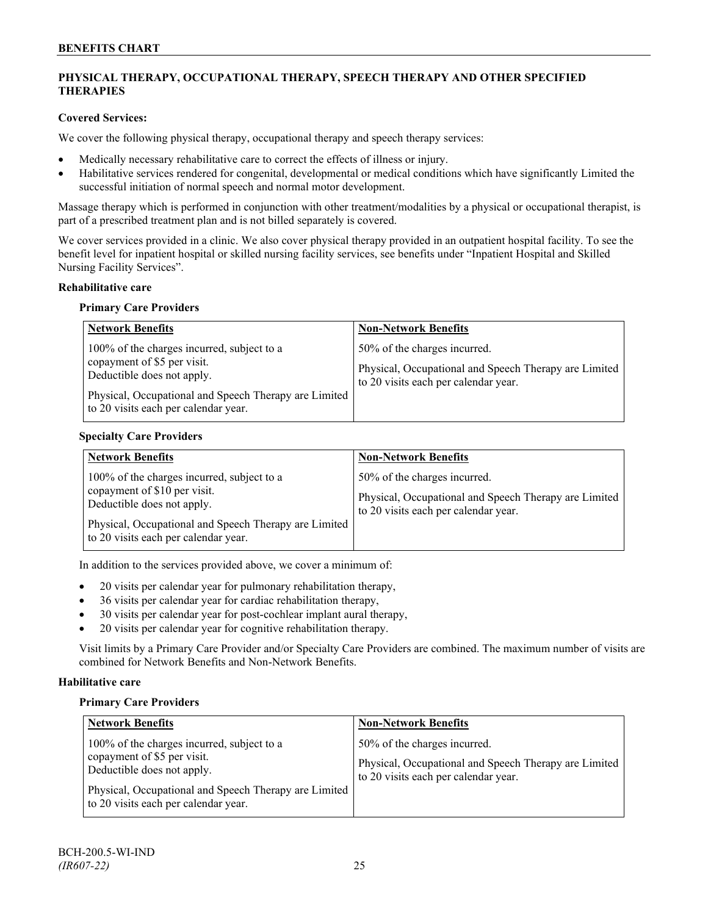## **PHYSICAL THERAPY, OCCUPATIONAL THERAPY, SPEECH THERAPY AND OTHER SPECIFIED THERAPIES**

## **Covered Services:**

We cover the following physical therapy, occupational therapy and speech therapy services:

- Medically necessary rehabilitative care to correct the effects of illness or injury.
- Habilitative services rendered for congenital, developmental or medical conditions which have significantly Limited the successful initiation of normal speech and normal motor development.

Massage therapy which is performed in conjunction with other treatment/modalities by a physical or occupational therapist, is part of a prescribed treatment plan and is not billed separately is covered.

We cover services provided in a clinic. We also cover physical therapy provided in an outpatient hospital facility. To see the benefit level for inpatient hospital or skilled nursing facility services, see benefits under "Inpatient Hospital and Skilled Nursing Facility Services".

## **Rehabilitative care**

#### **Primary Care Providers**

| <b>Network Benefits</b>                                                                                                                                                                                  | <b>Non-Network Benefits</b>                                                                                                   |
|----------------------------------------------------------------------------------------------------------------------------------------------------------------------------------------------------------|-------------------------------------------------------------------------------------------------------------------------------|
| 100% of the charges incurred, subject to a<br>copayment of \$5 per visit.<br>Deductible does not apply.<br>Physical, Occupational and Speech Therapy are Limited<br>to 20 visits each per calendar year. | 50% of the charges incurred.<br>Physical, Occupational and Speech Therapy are Limited<br>to 20 visits each per calendar year. |

## **Specialty Care Providers**

| <b>Network Benefits</b>                                                                                                                                                                                   | <b>Non-Network Benefits</b>                                                                                                   |
|-----------------------------------------------------------------------------------------------------------------------------------------------------------------------------------------------------------|-------------------------------------------------------------------------------------------------------------------------------|
| 100% of the charges incurred, subject to a<br>copayment of \$10 per visit.<br>Deductible does not apply.<br>Physical, Occupational and Speech Therapy are Limited<br>to 20 visits each per calendar year. | 50% of the charges incurred.<br>Physical, Occupational and Speech Therapy are Limited<br>to 20 visits each per calendar year. |

In addition to the services provided above, we cover a minimum of:

- 20 visits per calendar year for pulmonary rehabilitation therapy,
- 36 visits per calendar year for cardiac rehabilitation therapy,
- 30 visits per calendar year for post-cochlear implant aural therapy,
- 20 visits per calendar year for cognitive rehabilitation therapy.

Visit limits by a Primary Care Provider and/or Specialty Care Providers are combined. The maximum number of visits are combined for Network Benefits and Non-Network Benefits.

## **Habilitative care**

#### **Primary Care Providers**

| <b>Network Benefits</b>                                                                                                                                                                                  | <b>Non-Network Benefits</b>                                                                                                   |
|----------------------------------------------------------------------------------------------------------------------------------------------------------------------------------------------------------|-------------------------------------------------------------------------------------------------------------------------------|
| 100% of the charges incurred, subject to a<br>copayment of \$5 per visit.<br>Deductible does not apply.<br>Physical, Occupational and Speech Therapy are Limited<br>to 20 visits each per calendar year. | 50% of the charges incurred.<br>Physical, Occupational and Speech Therapy are Limited<br>to 20 visits each per calendar year. |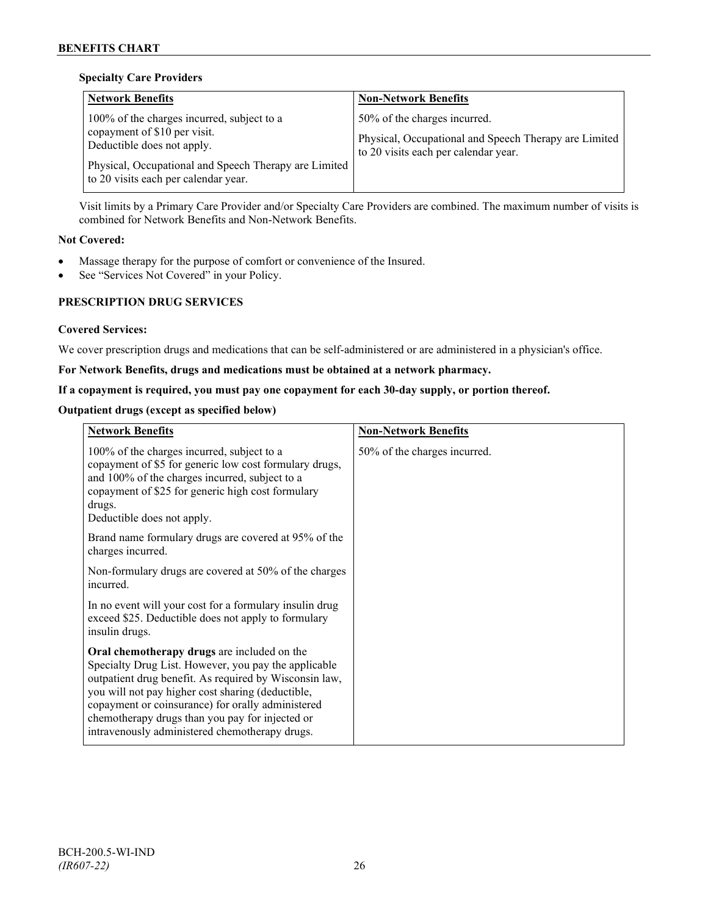## **Specialty Care Providers**

| <b>Network Benefits</b>                                                                                                                                                                                     | <b>Non-Network Benefits</b>                                                                                                   |
|-------------------------------------------------------------------------------------------------------------------------------------------------------------------------------------------------------------|-------------------------------------------------------------------------------------------------------------------------------|
| 100% of the charges incurred, subject to a<br>copayment of \$10 per visit.<br>Deductible does not apply.<br>Physical, Occupational and Speech Therapy are Limited  <br>to 20 visits each per calendar year. | 50% of the charges incurred.<br>Physical, Occupational and Speech Therapy are Limited<br>to 20 visits each per calendar year. |

Visit limits by a Primary Care Provider and/or Specialty Care Providers are combined. The maximum number of visits is combined for Network Benefits and Non-Network Benefits.

## **Not Covered:**

- Massage therapy for the purpose of comfort or convenience of the Insured.
- See "Services Not Covered" in your Policy.

## **PRESCRIPTION DRUG SERVICES**

## **Covered Services:**

We cover prescription drugs and medications that can be self-administered or are administered in a physician's office.

## **For Network Benefits, drugs and medications must be obtained at a network pharmacy.**

## **If a copayment is required, you must pay one copayment for each 30-day supply, or portion thereof.**

## **Outpatient drugs (except as specified below)**

| <b>Network Benefits</b>                                                                                                                                                                                                                                                                                                                                                      | <b>Non-Network Benefits</b>  |
|------------------------------------------------------------------------------------------------------------------------------------------------------------------------------------------------------------------------------------------------------------------------------------------------------------------------------------------------------------------------------|------------------------------|
| 100% of the charges incurred, subject to a<br>copayment of \$5 for generic low cost formulary drugs,<br>and 100% of the charges incurred, subject to a<br>copayment of \$25 for generic high cost formulary<br>drugs.<br>Deductible does not apply.                                                                                                                          | 50% of the charges incurred. |
| Brand name formulary drugs are covered at 95% of the<br>charges incurred.                                                                                                                                                                                                                                                                                                    |                              |
| Non-formulary drugs are covered at 50% of the charges<br>incurred.                                                                                                                                                                                                                                                                                                           |                              |
| In no event will your cost for a formulary insulin drug<br>exceed \$25. Deductible does not apply to formulary<br>insulin drugs.                                                                                                                                                                                                                                             |                              |
| Oral chemotherapy drugs are included on the<br>Specialty Drug List. However, you pay the applicable<br>outpatient drug benefit. As required by Wisconsin law,<br>you will not pay higher cost sharing (deductible,<br>copayment or coinsurance) for orally administered<br>chemotherapy drugs than you pay for injected or<br>intravenously administered chemotherapy drugs. |                              |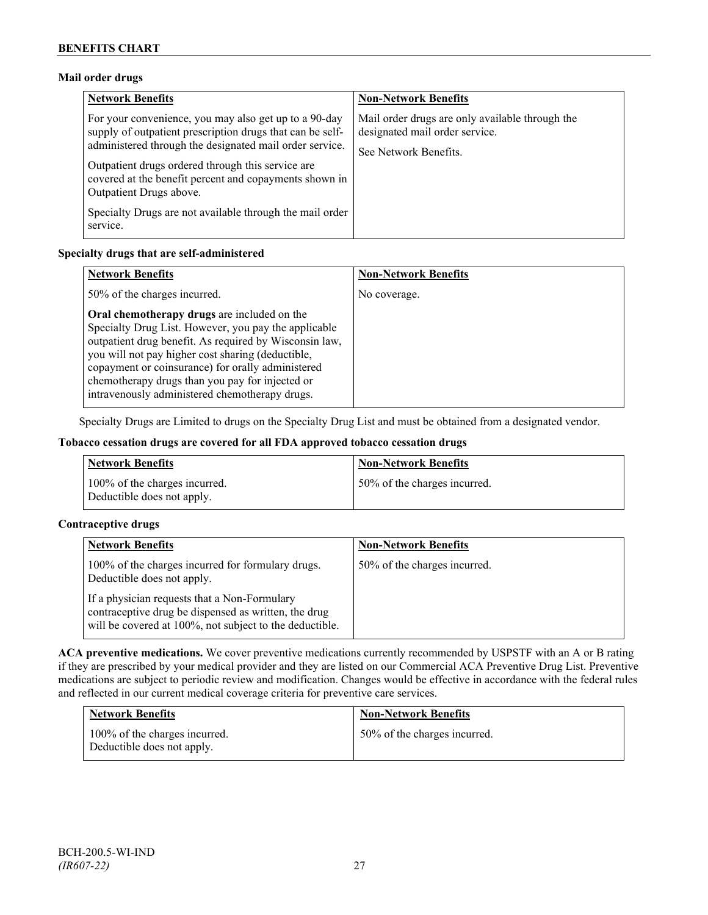## **Mail order drugs**

| <b>Network Benefits</b>                                                                                                                                                                                                                                                                                                 | <b>Non-Network Benefits</b>                                                                                |
|-------------------------------------------------------------------------------------------------------------------------------------------------------------------------------------------------------------------------------------------------------------------------------------------------------------------------|------------------------------------------------------------------------------------------------------------|
| For your convenience, you may also get up to a 90-day<br>supply of outpatient prescription drugs that can be self-<br>administered through the designated mail order service.<br>Outpatient drugs ordered through this service are<br>covered at the benefit percent and copayments shown in<br>Outpatient Drugs above. | Mail order drugs are only available through the<br>designated mail order service.<br>See Network Benefits. |
| Specialty Drugs are not available through the mail order<br>service.                                                                                                                                                                                                                                                    |                                                                                                            |

## **Specialty drugs that are self-administered**

| <b>Network Benefits</b>                                                                                                                                                                                                                                                                                                                                                      | <b>Non-Network Benefits</b> |
|------------------------------------------------------------------------------------------------------------------------------------------------------------------------------------------------------------------------------------------------------------------------------------------------------------------------------------------------------------------------------|-----------------------------|
| 50% of the charges incurred.                                                                                                                                                                                                                                                                                                                                                 | No coverage.                |
| Oral chemotherapy drugs are included on the<br>Specialty Drug List. However, you pay the applicable<br>outpatient drug benefit. As required by Wisconsin law,<br>you will not pay higher cost sharing (deductible,<br>copayment or coinsurance) for orally administered<br>chemotherapy drugs than you pay for injected or<br>intravenously administered chemotherapy drugs. |                             |

Specialty Drugs are Limited to drugs on the Specialty Drug List and must be obtained from a designated vendor.

## **Tobacco cessation drugs are covered for all FDA approved tobacco cessation drugs**

| <b>Network Benefits</b>                                     | <b>Non-Network Benefits</b>  |
|-------------------------------------------------------------|------------------------------|
| 100% of the charges incurred.<br>Deductible does not apply. | 50% of the charges incurred. |

## **Contraceptive drugs**

| <b>Network Benefits</b>                                                                                                                                         | <b>Non-Network Benefits</b>  |
|-----------------------------------------------------------------------------------------------------------------------------------------------------------------|------------------------------|
| 100% of the charges incurred for formulary drugs.<br>Deductible does not apply.                                                                                 | 50% of the charges incurred. |
| If a physician requests that a Non-Formulary<br>contraceptive drug be dispensed as written, the drug<br>will be covered at 100%, not subject to the deductible. |                              |

**ACA preventive medications.** We cover preventive medications currently recommended by USPSTF with an A or B rating if they are prescribed by your medical provider and they are listed on our Commercial ACA Preventive Drug List. Preventive medications are subject to periodic review and modification. Changes would be effective in accordance with the federal rules and reflected in our current medical coverage criteria for preventive care services.

| <b>Network Benefits</b>                                     | <b>Non-Network Benefits</b>  |
|-------------------------------------------------------------|------------------------------|
| 100% of the charges incurred.<br>Deductible does not apply. | 50% of the charges incurred. |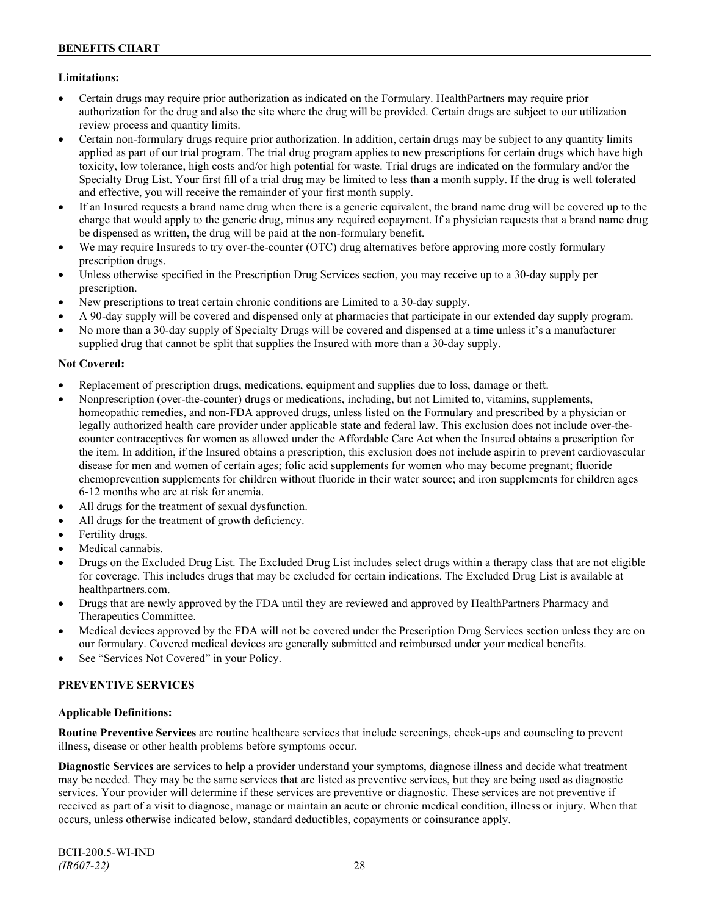## **Limitations:**

- Certain drugs may require prior authorization as indicated on the Formulary. HealthPartners may require prior authorization for the drug and also the site where the drug will be provided. Certain drugs are subject to our utilization review process and quantity limits.
- Certain non-formulary drugs require prior authorization. In addition, certain drugs may be subject to any quantity limits applied as part of our trial program. The trial drug program applies to new prescriptions for certain drugs which have high toxicity, low tolerance, high costs and/or high potential for waste. Trial drugs are indicated on the formulary and/or the Specialty Drug List. Your first fill of a trial drug may be limited to less than a month supply. If the drug is well tolerated and effective, you will receive the remainder of your first month supply.
- If an Insured requests a brand name drug when there is a generic equivalent, the brand name drug will be covered up to the charge that would apply to the generic drug, minus any required copayment. If a physician requests that a brand name drug be dispensed as written, the drug will be paid at the non-formulary benefit.
- We may require Insureds to try over-the-counter (OTC) drug alternatives before approving more costly formulary prescription drugs.
- Unless otherwise specified in the Prescription Drug Services section, you may receive up to a 30-day supply per prescription.
- New prescriptions to treat certain chronic conditions are Limited to a 30-day supply.
- A 90-day supply will be covered and dispensed only at pharmacies that participate in our extended day supply program.
- No more than a 30-day supply of Specialty Drugs will be covered and dispensed at a time unless it's a manufacturer supplied drug that cannot be split that supplies the Insured with more than a 30-day supply.

## **Not Covered:**

- Replacement of prescription drugs, medications, equipment and supplies due to loss, damage or theft.
- Nonprescription (over-the-counter) drugs or medications, including, but not Limited to, vitamins, supplements, homeopathic remedies, and non-FDA approved drugs, unless listed on the Formulary and prescribed by a physician or legally authorized health care provider under applicable state and federal law. This exclusion does not include over-thecounter contraceptives for women as allowed under the Affordable Care Act when the Insured obtains a prescription for the item. In addition, if the Insured obtains a prescription, this exclusion does not include aspirin to prevent cardiovascular disease for men and women of certain ages; folic acid supplements for women who may become pregnant; fluoride chemoprevention supplements for children without fluoride in their water source; and iron supplements for children ages 6-12 months who are at risk for anemia.
- All drugs for the treatment of sexual dysfunction.
- All drugs for the treatment of growth deficiency.
- Fertility drugs.
- Medical cannabis.
- Drugs on the Excluded Drug List. The Excluded Drug List includes select drugs within a therapy class that are not eligible for coverage. This includes drugs that may be excluded for certain indications. The Excluded Drug List is available at [healthpartners.com.](http://www.healthpartners.com/)
- Drugs that are newly approved by the FDA until they are reviewed and approved by HealthPartners Pharmacy and Therapeutics Committee.
- Medical devices approved by the FDA will not be covered under the Prescription Drug Services section unless they are on our formulary. Covered medical devices are generally submitted and reimbursed under your medical benefits.
- See "Services Not Covered" in your Policy.

## **PREVENTIVE SERVICES**

## **Applicable Definitions:**

**Routine Preventive Services** are routine healthcare services that include screenings, check-ups and counseling to prevent illness, disease or other health problems before symptoms occur.

**Diagnostic Services** are services to help a provider understand your symptoms, diagnose illness and decide what treatment may be needed. They may be the same services that are listed as preventive services, but they are being used as diagnostic services. Your provider will determine if these services are preventive or diagnostic. These services are not preventive if received as part of a visit to diagnose, manage or maintain an acute or chronic medical condition, illness or injury. When that occurs, unless otherwise indicated below, standard deductibles, copayments or coinsurance apply.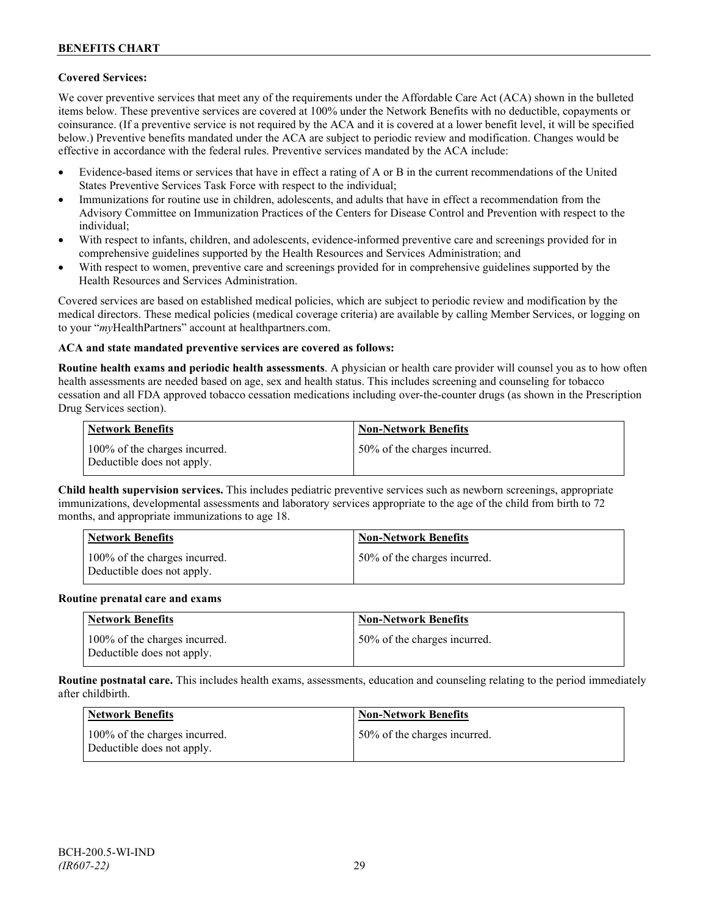## **Covered Services:**

We cover preventive services that meet any of the requirements under the Affordable Care Act (ACA) shown in the bulleted items below. These preventive services are covered at 100% under the Network Benefits with no deductible, copayments or coinsurance. (If a preventive service is not required by the ACA and it is covered at a lower benefit level, it will be specified below.) Preventive benefits mandated under the ACA are subject to periodic review and modification. Changes would be effective in accordance with the federal rules. Preventive services mandated by the ACA include:

- Evidence-based items or services that have in effect a rating of A or B in the current recommendations of the United States Preventive Services Task Force with respect to the individual;
- Immunizations for routine use in children, adolescents, and adults that have in effect a recommendation from the Advisory Committee on Immunization Practices of the Centers for Disease Control and Prevention with respect to the individual;
- With respect to infants, children, and adolescents, evidence-informed preventive care and screenings provided for in comprehensive guidelines supported by the Health Resources and Services Administration; and
- With respect to women, preventive care and screenings provided for in comprehensive guidelines supported by the Health Resources and Services Administration.

Covered services are based on established medical policies, which are subject to periodic review and modification by the medical directors. These medical policies (medical coverage criteria) are available by calling Member Services, or logging on to your "*my*HealthPartners" account at [healthpartners.com.](http://www.healthpartners.com/)

## **ACA and state mandated preventive services are covered as follows:**

**Routine health exams and periodic health assessments**. A physician or health care provider will counsel you as to how often health assessments are needed based on age, sex and health status. This includes screening and counseling for tobacco cessation and all FDA approved tobacco cessation medications including over-the-counter drugs (as shown in the Prescription Drug Services section).

| <b>Network Benefits</b>                                     | <b>Non-Network Benefits</b>  |
|-------------------------------------------------------------|------------------------------|
| 100% of the charges incurred.<br>Deductible does not apply. | 50% of the charges incurred. |

**Child health supervision services.** This includes pediatric preventive services such as newborn screenings, appropriate immunizations, developmental assessments and laboratory services appropriate to the age of the child from birth to 72 months, and appropriate immunizations to age 18.

| <b>Network Benefits</b>                                     | <b>Non-Network Benefits</b>  |
|-------------------------------------------------------------|------------------------------|
| 100% of the charges incurred.<br>Deductible does not apply. | 50% of the charges incurred. |

#### **Routine prenatal care and exams**

| Network Benefits                                            | <b>Non-Network Benefits</b>  |
|-------------------------------------------------------------|------------------------------|
| 100% of the charges incurred.<br>Deductible does not apply. | 50% of the charges incurred. |

**Routine postnatal care.** This includes health exams, assessments, education and counseling relating to the period immediately after childbirth.

| <b>Network Benefits</b>                                     | <b>Non-Network Benefits</b>  |
|-------------------------------------------------------------|------------------------------|
| 100% of the charges incurred.<br>Deductible does not apply. | 50% of the charges incurred. |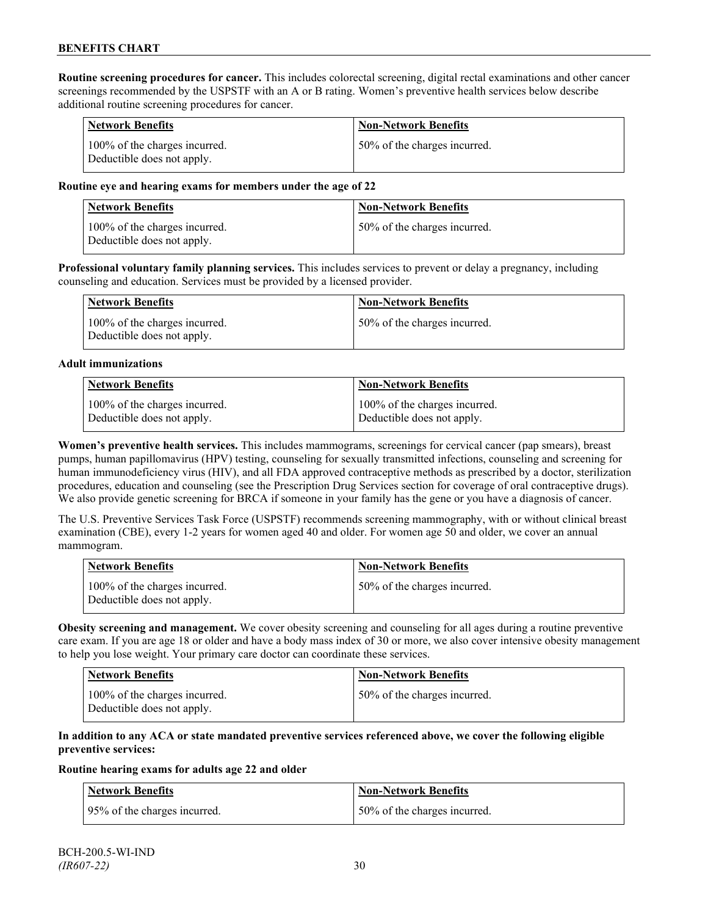**Routine screening procedures for cancer.** This includes colorectal screening, digital rectal examinations and other cancer screenings recommended by the USPSTF with an A or B rating. Women's preventive health services below describe additional routine screening procedures for cancer.

| <b>Network Benefits</b>                                     | <b>Non-Network Benefits</b>  |
|-------------------------------------------------------------|------------------------------|
| 100% of the charges incurred.<br>Deductible does not apply. | 50% of the charges incurred. |

#### **Routine eye and hearing exams for members under the age of 22**

| Network Benefits                                            | <b>Non-Network Benefits</b>  |
|-------------------------------------------------------------|------------------------------|
| 100% of the charges incurred.<br>Deductible does not apply. | 50% of the charges incurred. |

**Professional voluntary family planning services.** This includes services to prevent or delay a pregnancy, including counseling and education. Services must be provided by a licensed provider.

| Network Benefits                                            | <b>Non-Network Benefits</b>  |
|-------------------------------------------------------------|------------------------------|
| 100% of the charges incurred.<br>Deductible does not apply. | 50% of the charges incurred. |

#### **Adult immunizations**

| <b>Network Benefits</b>       | <b>Non-Network Benefits</b>   |
|-------------------------------|-------------------------------|
| 100% of the charges incurred. | 100% of the charges incurred. |
| Deductible does not apply.    | Deductible does not apply.    |

**Women's preventive health services.** This includes mammograms, screenings for cervical cancer (pap smears), breast pumps, human papillomavirus (HPV) testing, counseling for sexually transmitted infections, counseling and screening for human immunodeficiency virus (HIV), and all FDA approved contraceptive methods as prescribed by a doctor, sterilization procedures, education and counseling (see the Prescription Drug Services section for coverage of oral contraceptive drugs). We also provide genetic screening for BRCA if someone in your family has the gene or you have a diagnosis of cancer.

The U.S. Preventive Services Task Force (USPSTF) recommends screening mammography, with or without clinical breast examination (CBE), every 1-2 years for women aged 40 and older. For women age 50 and older, we cover an annual mammogram.

| Network Benefits                                            | <b>Non-Network Benefits</b>  |
|-------------------------------------------------------------|------------------------------|
| 100% of the charges incurred.<br>Deductible does not apply. | 50% of the charges incurred. |

**Obesity screening and management.** We cover obesity screening and counseling for all ages during a routine preventive care exam. If you are age 18 or older and have a body mass index of 30 or more, we also cover intensive obesity management to help you lose weight. Your primary care doctor can coordinate these services.

| <b>Network Benefits</b>                                     | Non-Network Benefits         |
|-------------------------------------------------------------|------------------------------|
| 100% of the charges incurred.<br>Deductible does not apply. | 50% of the charges incurred. |

#### **In addition to any ACA or state mandated preventive services referenced above, we cover the following eligible preventive services:**

#### **Routine hearing exams for adults age 22 and older**

| Network Benefits             | <b>Non-Network Benefits</b>  |
|------------------------------|------------------------------|
| 95% of the charges incurred. | 50% of the charges incurred. |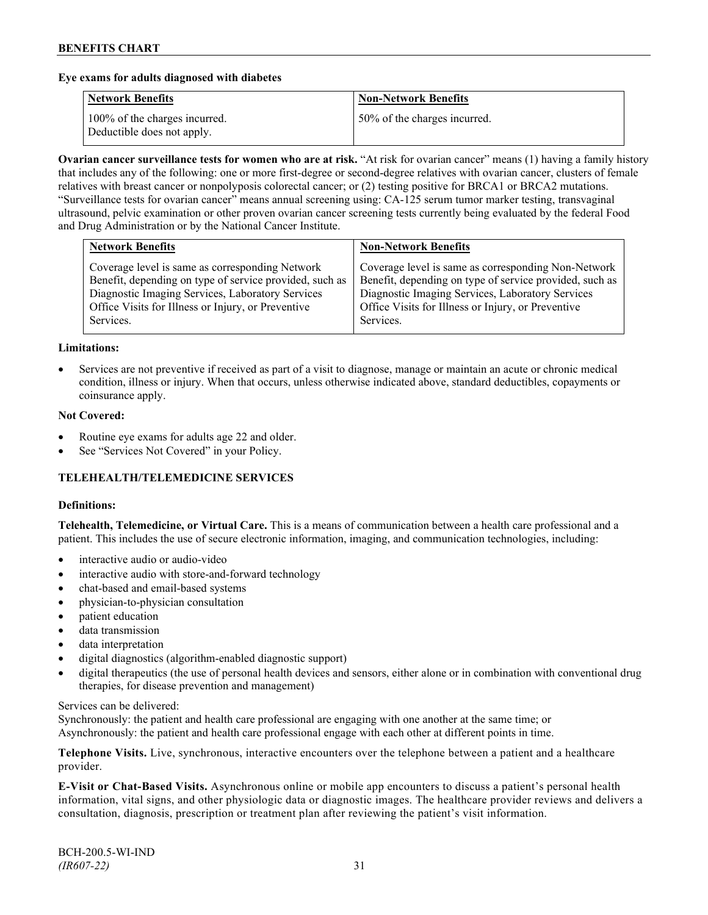#### **Eye exams for adults diagnosed with diabetes**

| <b>Network Benefits</b>                                     | <b>Non-Network Benefits</b>  |
|-------------------------------------------------------------|------------------------------|
| 100% of the charges incurred.<br>Deductible does not apply. | 50% of the charges incurred. |

**Ovarian cancer surveillance tests for women who are at risk.** "At risk for ovarian cancer" means (1) having a family history that includes any of the following: one or more first-degree or second-degree relatives with ovarian cancer, clusters of female relatives with breast cancer or nonpolyposis colorectal cancer; or (2) testing positive for BRCA1 or BRCA2 mutations. "Surveillance tests for ovarian cancer" means annual screening using: CA-125 serum tumor marker testing, transvaginal ultrasound, pelvic examination or other proven ovarian cancer screening tests currently being evaluated by the federal Food and Drug Administration or by the National Cancer Institute.

| Coverage level is same as corresponding Network<br>Benefit, depending on type of service provided, such as<br>Diagnostic Imaging Services, Laboratory Services<br>Diagnostic Imaging Services, Laboratory Services<br>Office Visits for Illness or Injury, or Preventive<br>Office Visits for Illness or Injury, or Preventive | <b>Network Benefits</b> | <b>Non-Network Benefits</b>                                                                                                 |
|--------------------------------------------------------------------------------------------------------------------------------------------------------------------------------------------------------------------------------------------------------------------------------------------------------------------------------|-------------------------|-----------------------------------------------------------------------------------------------------------------------------|
|                                                                                                                                                                                                                                                                                                                                | Services.               | Coverage level is same as corresponding Non-Network<br>Benefit, depending on type of service provided, such as<br>Services. |

#### **Limitations:**

• Services are not preventive if received as part of a visit to diagnose, manage or maintain an acute or chronic medical condition, illness or injury. When that occurs, unless otherwise indicated above, standard deductibles, copayments or coinsurance apply.

#### **Not Covered:**

- Routine eye exams for adults age 22 and older.
- See "Services Not Covered" in your Policy.

## **TELEHEALTH/TELEMEDICINE SERVICES**

#### **Definitions:**

**Telehealth, Telemedicine, or Virtual Care.** This is a means of communication between a health care professional and a patient. This includes the use of secure electronic information, imaging, and communication technologies, including:

- interactive audio or audio-video
- interactive audio with store-and-forward technology
- chat-based and email-based systems
- physician-to-physician consultation
- patient education
- data transmission
- data interpretation
- digital diagnostics (algorithm-enabled diagnostic support)
- digital therapeutics (the use of personal health devices and sensors, either alone or in combination with conventional drug therapies, for disease prevention and management)

#### Services can be delivered:

Synchronously: the patient and health care professional are engaging with one another at the same time; or Asynchronously: the patient and health care professional engage with each other at different points in time.

**Telephone Visits.** Live, synchronous, interactive encounters over the telephone between a patient and a healthcare provider.

**E-Visit or Chat-Based Visits.** Asynchronous online or mobile app encounters to discuss a patient's personal health information, vital signs, and other physiologic data or diagnostic images. The healthcare provider reviews and delivers a consultation, diagnosis, prescription or treatment plan after reviewing the patient's visit information.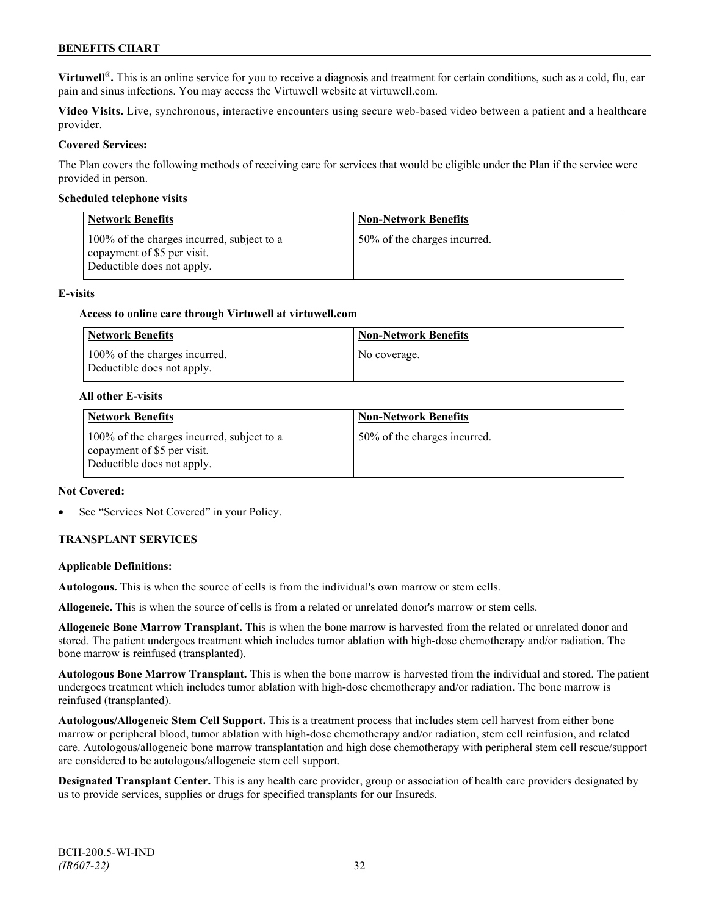**Virtuwell<sup>®</sup>**. This is an online service for you to receive a diagnosis and treatment for certain conditions, such as a cold, flu, ear pain and sinus infections. You may access the Virtuwell website at [virtuwell.com.](https://www.virtuwell.com/)

**Video Visits.** Live, synchronous, interactive encounters using secure web-based video between a patient and a healthcare provider.

#### **Covered Services:**

The Plan covers the following methods of receiving care for services that would be eligible under the Plan if the service were provided in person.

#### **Scheduled telephone visits**

| <b>Network Benefits</b>                                                                                 | <b>Non-Network Benefits</b>  |
|---------------------------------------------------------------------------------------------------------|------------------------------|
| 100% of the charges incurred, subject to a<br>copayment of \$5 per visit.<br>Deductible does not apply. | 50% of the charges incurred. |

#### **E-visits**

#### **Access to online care through Virtuwell at [virtuwell.com](http://www.virtuwell.com/)**

| Network Benefits                                            | <b>Non-Network Benefits</b> |
|-------------------------------------------------------------|-----------------------------|
| 100% of the charges incurred.<br>Deductible does not apply. | No coverage.                |

#### **All other E-visits**

| <b>Network Benefits</b>                                                                                 | <b>Non-Network Benefits</b>  |
|---------------------------------------------------------------------------------------------------------|------------------------------|
| 100% of the charges incurred, subject to a<br>copayment of \$5 per visit.<br>Deductible does not apply. | 50% of the charges incurred. |

#### **Not Covered:**

See "Services Not Covered" in your Policy.

## **TRANSPLANT SERVICES**

#### **Applicable Definitions:**

**Autologous.** This is when the source of cells is from the individual's own marrow or stem cells.

**Allogeneic.** This is when the source of cells is from a related or unrelated donor's marrow or stem cells.

**Allogeneic Bone Marrow Transplant.** This is when the bone marrow is harvested from the related or unrelated donor and stored. The patient undergoes treatment which includes tumor ablation with high-dose chemotherapy and/or radiation. The bone marrow is reinfused (transplanted).

**Autologous Bone Marrow Transplant.** This is when the bone marrow is harvested from the individual and stored. The patient undergoes treatment which includes tumor ablation with high-dose chemotherapy and/or radiation. The bone marrow is reinfused (transplanted).

**Autologous/Allogeneic Stem Cell Support.** This is a treatment process that includes stem cell harvest from either bone marrow or peripheral blood, tumor ablation with high-dose chemotherapy and/or radiation, stem cell reinfusion, and related care. Autologous/allogeneic bone marrow transplantation and high dose chemotherapy with peripheral stem cell rescue/support are considered to be autologous/allogeneic stem cell support.

**Designated Transplant Center.** This is any health care provider, group or association of health care providers designated by us to provide services, supplies or drugs for specified transplants for our Insureds.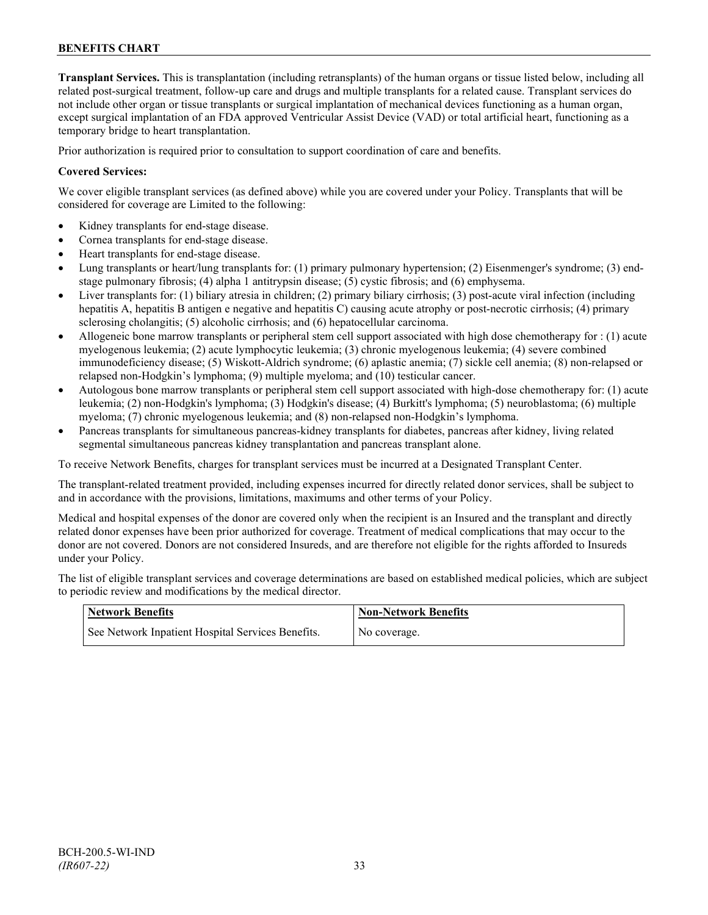**Transplant Services.** This is transplantation (including retransplants) of the human organs or tissue listed below, including all related post-surgical treatment, follow-up care and drugs and multiple transplants for a related cause. Transplant services do not include other organ or tissue transplants or surgical implantation of mechanical devices functioning as a human organ, except surgical implantation of an FDA approved Ventricular Assist Device (VAD) or total artificial heart, functioning as a temporary bridge to heart transplantation.

Prior authorization is required prior to consultation to support coordination of care and benefits.

## **Covered Services:**

We cover eligible transplant services (as defined above) while you are covered under your Policy. Transplants that will be considered for coverage are Limited to the following:

- Kidney transplants for end-stage disease.
- Cornea transplants for end-stage disease.
- Heart transplants for end-stage disease.
- Lung transplants or heart/lung transplants for: (1) primary pulmonary hypertension; (2) Eisenmenger's syndrome; (3) endstage pulmonary fibrosis; (4) alpha 1 antitrypsin disease; (5) cystic fibrosis; and (6) emphysema.
- Liver transplants for: (1) biliary atresia in children; (2) primary biliary cirrhosis; (3) post-acute viral infection (including hepatitis A, hepatitis B antigen e negative and hepatitis C) causing acute atrophy or post-necrotic cirrhosis; (4) primary sclerosing cholangitis; (5) alcoholic cirrhosis; and (6) hepatocellular carcinoma.
- Allogeneic bone marrow transplants or peripheral stem cell support associated with high dose chemotherapy for : (1) acute myelogenous leukemia; (2) acute lymphocytic leukemia; (3) chronic myelogenous leukemia; (4) severe combined immunodeficiency disease; (5) Wiskott-Aldrich syndrome; (6) aplastic anemia; (7) sickle cell anemia; (8) non-relapsed or relapsed non-Hodgkin's lymphoma; (9) multiple myeloma; and (10) testicular cancer.
- Autologous bone marrow transplants or peripheral stem cell support associated with high-dose chemotherapy for: (1) acute leukemia; (2) non-Hodgkin's lymphoma; (3) Hodgkin's disease; (4) Burkitt's lymphoma; (5) neuroblastoma; (6) multiple myeloma; (7) chronic myelogenous leukemia; and (8) non-relapsed non-Hodgkin's lymphoma.
- Pancreas transplants for simultaneous pancreas-kidney transplants for diabetes, pancreas after kidney, living related segmental simultaneous pancreas kidney transplantation and pancreas transplant alone.

To receive Network Benefits, charges for transplant services must be incurred at a Designated Transplant Center.

The transplant-related treatment provided, including expenses incurred for directly related donor services, shall be subject to and in accordance with the provisions, limitations, maximums and other terms of your Policy.

Medical and hospital expenses of the donor are covered only when the recipient is an Insured and the transplant and directly related donor expenses have been prior authorized for coverage. Treatment of medical complications that may occur to the donor are not covered. Donors are not considered Insureds, and are therefore not eligible for the rights afforded to Insureds under your Policy.

The list of eligible transplant services and coverage determinations are based on established medical policies, which are subject to periodic review and modifications by the medical director.

| <b>Network Benefits</b>                           | <b>Non-Network Benefits</b> |
|---------------------------------------------------|-----------------------------|
| See Network Inpatient Hospital Services Benefits. | No coverage.                |